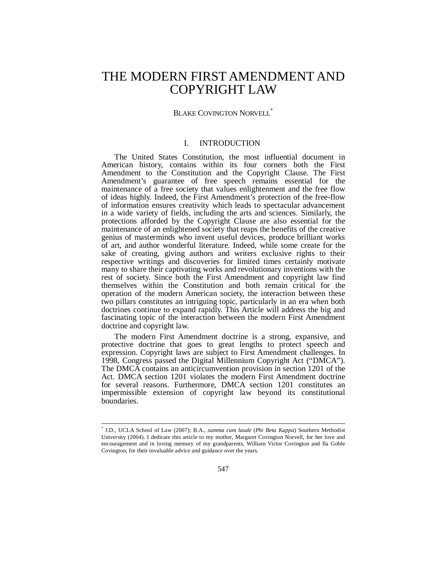# THE MODERN FIRST AMENDMENT AND COPYRIGHT LAW

# BLAKE COVINGTON NORVELL<sup>\*</sup>

## I. INTRODUCTION

The United States Constitution, the most influential document in American history, contains within its four corners both the First Amendment to the Constitution and the Copyright Clause. The First Amendment's guarantee of free speech remains essential for the maintenance of a free society that values enlightenment and the free flow of ideas highly. Indeed, the First Amendment's protection of the free-flow of information ensures creativity which leads to spectacular advancement in a wide variety of fields, including the arts and sciences. Similarly, the protections afforded by the Copyright Clause are also essential for the maintenance of an enlightened society that reaps the benefits of the creative genius of masterminds who invent useful devices, produce brilliant works of art, and author wonderful literature. Indeed, while some create for the sake of creating, giving authors and writers exclusive rights to their respective writings and discoveries for limited times certainly motivate many to share their captivating works and revolutionary inventions with the rest of society. Since both the First Amendment and copyright law find themselves within the Constitution and both remain critical for the operation of the modern American society, the interaction between these two pillars constitutes an intriguing topic, particularly in an era when both doctrines continue to expand rapidly. This Article will address the big and fascinating topic of the interaction between the modern First Amendment doctrine and copyright law.

The modern First Amendment doctrine is a strong, expansive, and protective doctrine that goes to great lengths to protect speech and expression. Copyright laws are subject to First Amendment challenges. In 1998, Congress passed the Digital Millennium Copyright Act ("DMCA"). The DMCA contains an anticircumvention provision in section 1201 of the Act. DMCA section 1201 violates the modern First Amendment doctrine for several reasons. Furthermore, DMCA section 1201 constitutes an impermissible extension of copyright law beyond its constitutional boundaries.

 \* J.D., UCLA School of Law (2007); B.A., *summa cum laude* (*Phi Beta Kappa*) Southern Methodist University (2004). I dedicate this article to my mother, Margaret Covington Norvell, for her love and encouragement and in loving memory of my grandparents, William Victor Covington and Ila Goble Covington, for their invaluable advice and guidance over the years.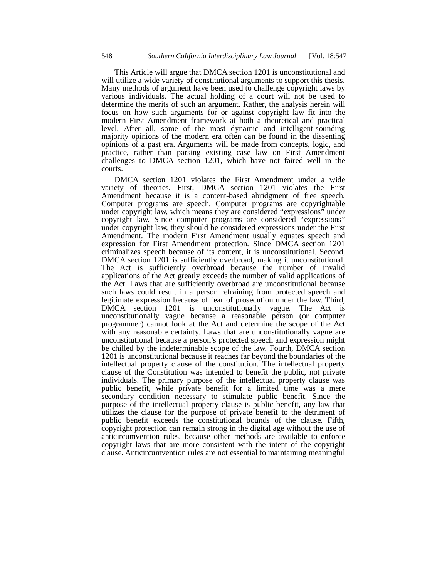This Article will argue that DMCA section 1201 is unconstitutional and will utilize a wide variety of constitutional arguments to support this thesis. Many methods of argument have been used to challenge copyright laws by various individuals. The actual holding of a court will not be used to determine the merits of such an argument. Rather, the analysis herein will focus on how such arguments for or against copyright law fit into the modern First Amendment framework at both a theoretical and practical level. After all, some of the most dynamic and intelligent-sounding majority opinions of the modern era often can be found in the dissenting opinions of a past era. Arguments will be made from concepts, logic, and practice, rather than parsing existing case law on First Amendment challenges to DMCA section 1201, which have not faired well in the courts.

DMCA section 1201 violates the First Amendment under a wide variety of theories. First, DMCA section 1201 violates the First Amendment because it is a content-based abridgment of free speech. Computer programs are speech. Computer programs are copyrightable under copyright law, which means they are considered "expressions" under copyright law. Since computer programs are considered "expressions" under copyright law, they should be considered expressions under the First Amendment. The modern First Amendment usually equates speech and expression for First Amendment protection. Since DMCA section 1201 criminalizes speech because of its content, it is unconstitutional. Second, DMCA section 1201 is sufficiently overbroad, making it unconstitutional. The Act is sufficiently overbroad because the number of invalid applications of the Act greatly exceeds the number of valid applications of the Act. Laws that are sufficiently overbroad are unconstitutional because such laws could result in a person refraining from protected speech and legitimate expression because of fear of prosecution under the law. Third, DMCA section 1201 is unconstitutionally vague. The Act is unconstitutionally vague because a reasonable person (or computer programmer) cannot look at the Act and determine the scope of the Act with any reasonable certainty. Laws that are unconstitutionally vague are unconstitutional because a person's protected speech and expression might be chilled by the indeterminable scope of the law. Fourth, DMCA section 1201 is unconstitutional because it reaches far beyond the boundaries of the intellectual property clause of the constitution. The intellectual property clause of the Constitution was intended to benefit the public, not private individuals. The primary purpose of the intellectual property clause was public benefit, while private benefit for a limited time was a mere secondary condition necessary to stimulate public benefit. Since the purpose of the intellectual property clause is public benefit, any law that utilizes the clause for the purpose of private benefit to the detriment of public benefit exceeds the constitutional bounds of the clause. Fifth, copyright protection can remain strong in the digital age without the use of anticircumvention rules, because other methods are available to enforce copyright laws that are more consistent with the intent of the copyright clause. Anticircumvention rules are not essential to maintaining meaningful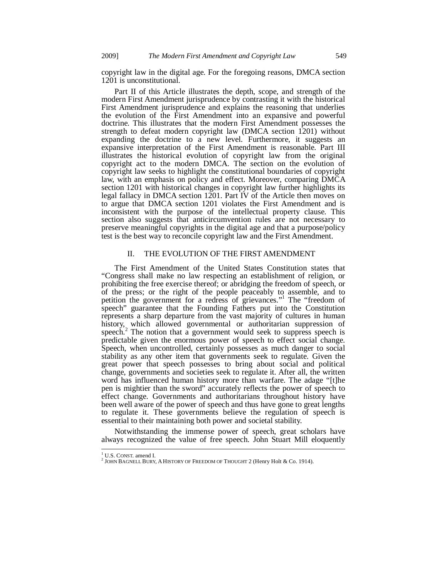copyright law in the digital age. For the foregoing reasons, DMCA section 1201 is unconstitutional.

Part II of this Article illustrates the depth, scope, and strength of the modern First Amendment jurisprudence by contrasting it with the historical First Amendment jurisprudence and explains the reasoning that underlies the evolution of the First Amendment into an expansive and powerful doctrine. This illustrates that the modern First Amendment possesses the strength to defeat modern copyright law (DMCA section 1201) without expanding the doctrine to a new level. Furthermore, it suggests an expansive interpretation of the First Amendment is reasonable. Part III illustrates the historical evolution of copyright law from the original copyright act to the modern DMCA. The section on the evolution of copyright law seeks to highlight the constitutional boundaries of copyright law, with an emphasis on policy and effect. Moreover, comparing DMCA section 1201 with historical changes in copyright law further highlights its legal fallacy in DMCA section 1201. Part IV of the Article then moves on to argue that DMCA section 1201 violates the First Amendment and is inconsistent with the purpose of the intellectual property clause. This section also suggests that anticircumvention rules are not necessary to preserve meaningful copyrights in the digital age and that a purpose/policy test is the best way to reconcile copyright law and the First Amendment.

## II. THE EVOLUTION OF THE FIRST AMENDMENT

The First Amendment of the United States Constitution states that "Congress shall make no law respecting an establishment of religion, or prohibiting the free exercise thereof; or abridging the freedom of speech, or of the press; or the right of the people peaceably to assemble, and to petition the government for a redress of grievances."1 The "freedom of speech" guarantee that the Founding Fathers put into the Constitution represents a sharp departure from the vast majority of cultures in human history, which allowed governmental or authoritarian suppression of speech.<sup>2</sup> The notion that a government would seek to suppress speech is predictable given the enormous power of speech to effect social change. Speech, when uncontrolled, certainly possesses as much danger to social stability as any other item that governments seek to regulate. Given the great power that speech possesses to bring about social and political change, governments and societies seek to regulate it. After all, the written word has influenced human history more than warfare. The adage "[t]he pen is mightier than the sword" accurately reflects the power of speech to effect change. Governments and authoritarians throughout history have been well aware of the power of speech and thus have gone to great lengths to regulate it. These governments believe the regulation of speech is essential to their maintaining both power and societal stability.

Notwithstanding the immense power of speech, great scholars have always recognized the value of free speech. John Stuart Mill eloquently

 $1$  U.S. CONST. amend L.

<sup>&</sup>lt;sup>1</sup> U.S. CONST. amend I.<br><sup>2</sup> JOHN BAGNELL BURY, A HISTORY OF FREEDOM OF THOUGHT 2 (Henry Holt & Co. 1914).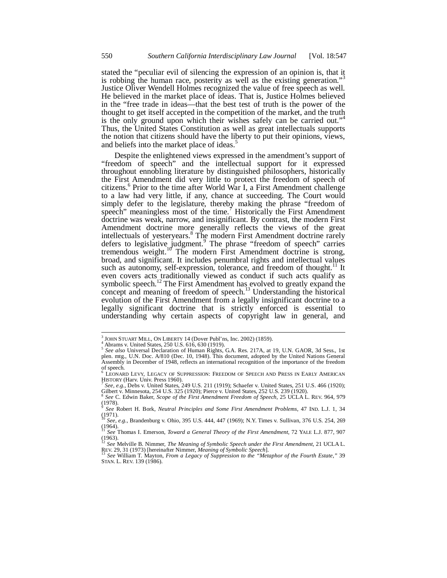stated the "peculiar evil of silencing the expression of an opinion is, that it is robbing the human race, posterity as well as the existing generation."<sup>3</sup> Justice Oliver Wendell Holmes recognized the value of free speech as well. He believed in the market place of ideas. That is, Justice Holmes believed in the "free trade in ideas—that the best test of truth is the power of the thought to get itself accepted in the competition of the market, and the truth is the only ground upon which their wishes safely can be carried out."<sup>4</sup> Thus, the United States Constitution as well as great intellectuals supports the notion that citizens should have the liberty to put their opinions, views, and beliefs into the market place of ideas.<sup>5</sup>

Despite the enlightened views expressed in the amendment's support of "freedom of speech" and the intellectual support for it expressed throughout ennobling literature by distinguished philosophers, historically the First Amendment did very little to protect the freedom of speech of citizens.<sup>6</sup> Prior to the time after World War I, a First Amendment challenge to a law had very little, if any, chance at succeeding. The Court would simply defer to the legislature, thereby making the phrase "freedom of speech" meaningless most of the time.<sup>7</sup> Historically the First Amendment doctrine was weak, narrow, and insignificant. By contrast, the modern First Amendment doctrine more generally reflects the views of the great intellectuals of yesteryears.<sup>8</sup> The modern First Amendment doctrine rarely defers to legislative judgment.<sup>9</sup> The phrase "freedom of speech" carries tremendous weight.<sup>10</sup> The modern First Amendment doctrine is strong, broad, and significant. It includes penumbral rights and intellectual values such as autonomy, self-expression, tolerance, and freedom of thought.<sup>11</sup> It even covers acts traditionally viewed as conduct if such acts qualify as symbolic speech.<sup>12</sup> The First Amendment has evolved to greatly expand the concept and meaning of freedom of speech.<sup>13</sup> Understanding the historical evolution of the First Amendment from a legally insignificant doctrine to a legally significant doctrine that is strictly enforced is essential to understanding why certain aspects of copyright law in general, and

<sup>&</sup>lt;sup>3</sup> JOHN STUART MILL, ON LIBERTY 14 (Dover Publ'ns, Inc. 2002) (1859).

 $^{4}$  Abrams v. United States, 250 U.S. 616, 630 (1919).

<sup>5</sup> *See also* Universal Declaration of Human Rights, G.A. Res. 217A, at 19, U.N. GAOR, 3d Sess., 1st plen. mtg., U.N. Doc. A/810 (Dec. 10, 1948). This document, adopted by the United Nations General Assembly in December of 1948, reflects an international recognition of the importance of the freedom of speech.<br><sup>6</sup> LEOMARI

LEONARD LEVY, LEGACY OF SUPPRESSION: FREEDOM OF SPEECH AND PRESS IN EARLY AMERICAN HISTORY (Harv. Univ. Press 1960).

*See, e.g.*, Debs v. United States, 249 U.S. 211 (1919); Schaefer v. United States, 251 U.S. 466 (1920); Gilbert v. Minnesota, 254 U.S. 325 (1920); Pierce v. United States, 252 U.S. 239 (1920).

<sup>8</sup> *See* C. Edwin Baker, *Scope of the First Amendment Freedom of Speech*, 25 UCLA L. REV. 964, 979  $(1978)$ .

<sup>9</sup> *See* Robert H. Bork, *Neutral Principles and Some First Amendment Problems*, 47 IND. L.J. 1, 34 (1971). <sup>10</sup> *See, e.g.*, Brandenburg v. Ohio, 395 U.S. 444, 447 (1969); N.Y. Times v. Sullivan, 376 U.S. 254, 269

<sup>(1964).</sup>  <sup>11</sup> *See* Thomas I. Emerson, *Toward a General Theory of the First Amendment*, 72 YALE L.J. 877, 907

 $(1963)$ .

<sup>12</sup> *See* Melville B. Nimmer, *The Meaning of Symbolic Speech under the First Amendment*, 21 UCLA L. REV. 29, 31 (1973) [hereinafter Nimmer, *Meaning of Symbolic Speech*]. 13 *See* William T. Mayton, *From a Legacy of Suppression to the "Metaphor of the Fourth Estate*,*"*<sup>39</sup>

STAN. L. REV. 139 (1986).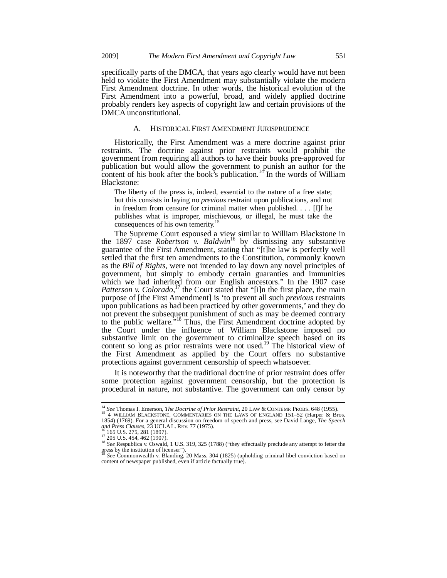specifically parts of the DMCA, that years ago clearly would have not been held to violate the First Amendment may substantially violate the modern First Amendment doctrine. In other words, the historical evolution of the First Amendment into a powerful, broad, and widely applied doctrine probably renders key aspects of copyright law and certain provisions of the DMCA unconstitutional.

#### A. HISTORICAL FIRST AMENDMENT JURISPRUDENCE

Historically, the First Amendment was a mere doctrine against prior restraints. The doctrine against prior restraints would prohibit the government from requiring all authors to have their books pre-approved for publication but would allow the government to punish an author for the content of his book after the book's publication.<sup>14</sup> In the words of William Blackstone:

The liberty of the press is, indeed, essential to the nature of a free state; but this consists in laying no *previous* restraint upon publications, and not in freedom from censure for criminal matter when published. . . . [I]f he publishes what is improper, mischievous, or illegal, he must take the consequences of his own temerity.<sup>1</sup>

The Supreme Court espoused a view similar to William Blackstone in the 1897 case *Robertson v. Baldwin*<sup>16</sup> by dismissing any substantive guarantee of the First Amendment, stating that "[t]he law is perfectly well settled that the first ten amendments to the Constitution, commonly known as the *Bill of Rights*, were not intended to lay down any novel principles of government, but simply to embody certain guaranties and immunities which we had inherited from our English ancestors." In the 1907 case Patterson v. Colorado,<sup>17</sup> the Court stated that "[i]n the first place, the main purpose of [the First Amendment] is 'to prevent all such *previous* restraints upon publications as had been practiced by other governments,' and they do not prevent the subsequent punishment of such as may be deemed contrary to the public welfare.<sup>5,18</sup> Thus, the First Amendment doctrine adopted by the Court under the influence of William Blackstone imposed no substantive limit on the government to criminalize speech based on its content so long as prior restraints were not used.<sup>19</sup> The historical view of the First Amendment as applied by the Court offers no substantive protections against government censorship of speech whatsoever.

It is noteworthy that the traditional doctrine of prior restraint does offer some protection against government censorship, but the protection is procedural in nature, not substantive. The government can only censor by

<sup>&</sup>lt;sup>14</sup> See Thomas I. Emerson, *The Doctrine of Prior Restraint*, 20 LAW & CONTEMP. PROBS. 648 (1955).<br><sup>15</sup> 4 WILLIAM BLACKSTONE, COMMENTARIES ON THE LAWS OF ENGLAND 151–52 (Harper & Bros.

<sup>1854) (1769).</sup> For a general discussion on freedom of speech and press, see David Lange, *The Speech and Press Clauses*, 23 UCLAL. REV. 77 (1975).<br><sup>16</sup> 165 U.S. 275, 281 (1897).<br><sup>17</sup> 205 U.S. 454, 462 (1907).<br><sup>18</sup> *See* Respublica v. Oswald, 1 U.S. 319, 325 (1788) ("they effectually preclude any attempt to fetter the

press by the institution of licenser"). <sup>19</sup> *See* Commonwealth v. Blanding, 20 Mass. 304 (1825) (upholding criminal libel conviction based on

content of newspaper published, even if article factually true).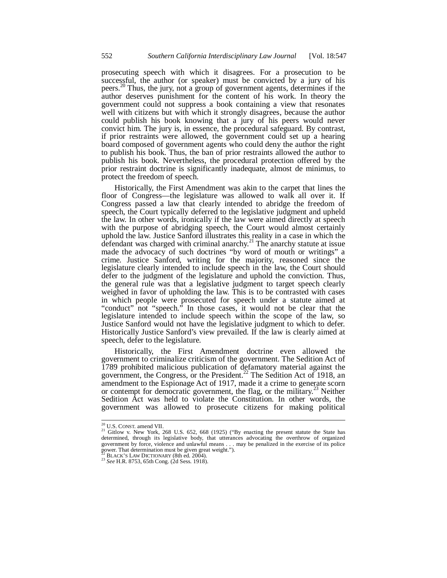prosecuting speech with which it disagrees. For a prosecution to be successful, the author (or speaker) must be convicted by a jury of his peers.20 Thus, the jury, not a group of government agents, determines if the author deserves punishment for the content of his work. In theory the government could not suppress a book containing a view that resonates well with citizens but with which it strongly disagrees, because the author could publish his book knowing that a jury of his peers would never convict him. The jury is, in essence, the procedural safeguard. By contrast, if prior restraints were allowed, the government could set up a hearing board composed of government agents who could deny the author the right to publish his book. Thus, the ban of prior restraints allowed the author to publish his book. Nevertheless, the procedural protection offered by the prior restraint doctrine is significantly inadequate, almost de minimus, to protect the freedom of speech.

Historically, the First Amendment was akin to the carpet that lines the floor of Congress—the legislature was allowed to walk all over it. If Congress passed a law that clearly intended to abridge the freedom of speech, the Court typically deferred to the legislative judgment and upheld the law. In other words, ironically if the law were aimed directly at speech with the purpose of abridging speech, the Court would almost certainly uphold the law. Justice Sanford illustrates this reality in a case in which the defendant was charged with criminal anarchy.<sup>21</sup> The anarchy statute at issue made the advocacy of such doctrines "by word of mouth or writings" a crime. Justice Sanford, writing for the majority, reasoned since the legislature clearly intended to include speech in the law, the Court should defer to the judgment of the legislature and uphold the conviction. Thus, the general rule was that a legislative judgment to target speech clearly weighed in favor of upholding the law. This is to be contrasted with cases in which people were prosecuted for speech under a statute aimed at "conduct" not "speech." In those cases, it would not be clear that the legislature intended to include speech within the scope of the law, so Justice Sanford would not have the legislative judgment to which to defer. Historically Justice Sanford's view prevailed. If the law is clearly aimed at speech, defer to the legislature.

Historically, the First Amendment doctrine even allowed the government to criminalize criticism of the government. The Sedition Act of 1789 prohibited malicious publication of defamatory material against the government, the Congress, or the President.<sup>22</sup> The Sedition Act of 1918, an amendment to the Espionage Act of 1917, made it a crime to generate scorn or contempt for democratic government, the flag, or the military.<sup>23</sup> Neither Sedition Act was held to violate the Constitution. In other words, the government was allowed to prosecute citizens for making political

<sup>&</sup>lt;sup>20</sup> U.S. CONST. amend VII.<br><sup>21</sup> Gitlow v. New York, 268 U.S. 652, 668 (1925) ("By enacting the present statute the State has determined, through its legislative body, that utterances advocating the overthrow of organized government by force, violence and unlawful means . . . may be penalized in the exercise of its police power. That determination must be given great weight.").

<sup>22</sup> BLACK'S LAW DICTIONARY (8th ed. 2004). 23 *See* H.R. 8753, 65th Cong. (2d Sess. 1918).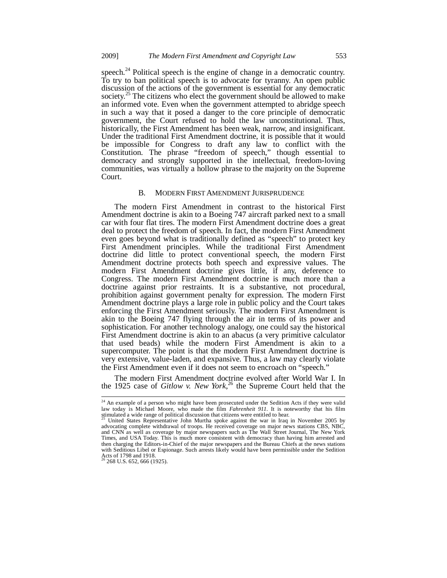speech. $^{24}$  Political speech is the engine of change in a democratic country. To try to ban political speech is to advocate for tyranny. An open public discussion of the actions of the government is essential for any democratic society.<sup>25</sup> The citizens who elect the government should be allowed to make an informed vote. Even when the government attempted to abridge speech in such a way that it posed a danger to the core principle of democratic government, the Court refused to hold the law unconstitutional. Thus, historically, the First Amendment has been weak, narrow, and insignificant. Under the traditional First Amendment doctrine, it is possible that it would be impossible for Congress to draft any law to conflict with the Constitution. The phrase "freedom of speech," though essential to democracy and strongly supported in the intellectual, freedom-loving communities, was virtually a hollow phrase to the majority on the Supreme Court.

#### B. MODERN FIRST AMENDMENT JURISPRUDENCE

The modern First Amendment in contrast to the historical First Amendment doctrine is akin to a Boeing 747 aircraft parked next to a small car with four flat tires. The modern First Amendment doctrine does a great deal to protect the freedom of speech. In fact, the modern First Amendment even goes beyond what is traditionally defined as "speech" to protect key First Amendment principles. While the traditional First Amendment doctrine did little to protect conventional speech, the modern First Amendment doctrine protects both speech and expressive values. The modern First Amendment doctrine gives little, if any, deference to Congress. The modern First Amendment doctrine is much more than a doctrine against prior restraints. It is a substantive, not procedural, prohibition against government penalty for expression. The modern First Amendment doctrine plays a large role in public policy and the Court takes enforcing the First Amendment seriously. The modern First Amendment is akin to the Boeing 747 flying through the air in terms of its power and sophistication. For another technology analogy, one could say the historical First Amendment doctrine is akin to an abacus (a very primitive calculator that used beads) while the modern First Amendment is akin to a supercomputer. The point is that the modern First Amendment doctrine is very extensive, value-laden, and expansive. Thus, a law may clearly violate the First Amendment even if it does not seem to encroach on "speech."

The modern First Amendment doctrine evolved after World War I. In the 1925 case of *Gitlow v. New York*, 26 the Supreme Court held that the

 $24$  An example of a person who might have been prosecuted under the Sedition Acts if they were valid law today is Michael Moore, who made the film *Fahrenheit 911*. It is noteworthy that his film stimulated a wide range of political discussion that citizens were entitled to hear.

<sup>25</sup> United States Representative John Murtha spoke against the war in Iraq in November 2005 by advocating complete withdrawal of troops. He received coverage on major news stations CBS, NBC, and CNN as well as coverage by major newspapers such as The Wall Street Journal, The New York Times, and USA Today. This is much more consistent with democracy than having him arrested and then charging the Editors-in-Chief of the major newspapers and the Bureau Chiefs at the news stations with Seditious Libel or Espionage. Such arrests likely would have been permissible under the Sedition Acts of 1798 and 1918.<br><sup>26</sup> 268 U.S. 652, 666 (1925).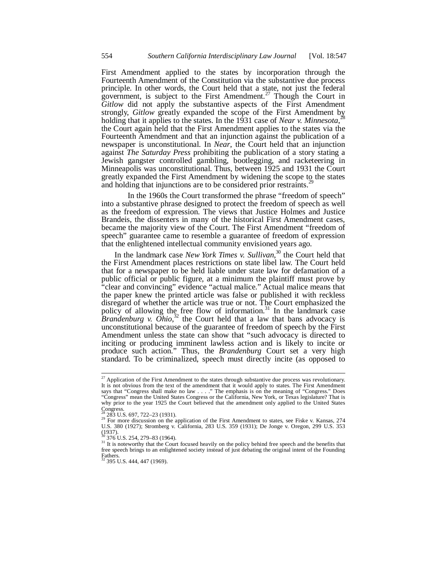First Amendment applied to the states by incorporation through the Fourteenth Amendment of the Constitution via the substantive due process principle. In other words, the Court held that a state, not just the federal government, is subject to the First Amendment.<sup>27</sup> Though the Court in *Gitlow* did not apply the substantive aspects of the First Amendment strongly, *Gitlow* greatly expanded the scope of the First Amendment by holding that it applies to the states. In the 1931 case of *Near v. Minnesota*,<sup>28</sup> the Court again held that the First Amendment applies to the states via the Fourteenth Amendment and that an injunction against the publication of a newspaper is unconstitutional. In *Near*, the Court held that an injunction against *The Saturday Press* prohibiting the publication of a story stating a Jewish gangster controlled gambling, bootlegging, and racketeering in Minneapolis was unconstitutional. Thus, between 1925 and 1931 the Court greatly expanded the First Amendment by widening the scope to the states and holding that injunctions are to be considered prior restraints.<sup>29</sup>

 In the 1960s the Court transformed the phrase "freedom of speech" into a substantive phrase designed to protect the freedom of speech as well as the freedom of expression. The views that Justice Holmes and Justice Brandeis, the dissenters in many of the historical First Amendment cases, became the majority view of the Court. The First Amendment "freedom of speech" guarantee came to resemble a guarantee of freedom of expression that the enlightened intellectual community envisioned years ago.

In the landmark case *New York Times v. Sullivan*, 30 the Court held that the First Amendment places restrictions on state libel law. The Court held that for a newspaper to be held liable under state law for defamation of a public official or public figure, at a minimum the plaintiff must prove by "clear and convincing" evidence "actual malice." Actual malice means that the paper knew the printed article was false or published it with reckless disregard of whether the article was true or not. The Court emphasized the policy of allowing the free flow of information. $31$  In the landmark case *Brandenburg v. Ohio*, 32 the Court held that a law that bans advocacy is unconstitutional because of the guarantee of freedom of speech by the First Amendment unless the state can show that "such advocacy is directed to inciting or producing imminent lawless action and is likely to incite or produce such action." Thus, the *Brandenburg* Court set a very high standard. To be criminalized, speech must directly incite (as opposed to

 $27$  Application of the First Amendment to the states through substantive due process was revolutionary. It is not obvious from the text of the amendment that it would apply to states. The First Amendment says that "Congress shall make no law . . . ." The emphasis is on the meaning of "Congress." Does "Congress" are need States Congress or the California, New York, or Texas legislature? That is why prior to the year 1925 the Court believed that the amendment only applied to the United States

Congress.<br><sup>28</sup> 283 U.S. 697, 722–23 (1931).

<sup>&</sup>lt;sup>28</sup> 283 U.S. 697, 722–23 (1931).<br><sup>29</sup> For more discussion on the application of the First Amendment to states, see Fiske v. Kansas, 274 U.S. 380 (1927); Stromberg v. California, 283 U.S. 359 (1931); De Jonge v. Oregon, 299 U.S. 353  $(1937)$ .<br> $^{30}$  376 U.S. 254, 279–83 (1964).

<sup>&</sup>lt;sup>31</sup> It is noteworthy that the Court focused heavily on the policy behind free speech and the benefits that free speech brings to an enlightened society instead of just debating the original intent of the Founding Fathers.<br><sup>32</sup> 395 U.S. 444, 447 (1969).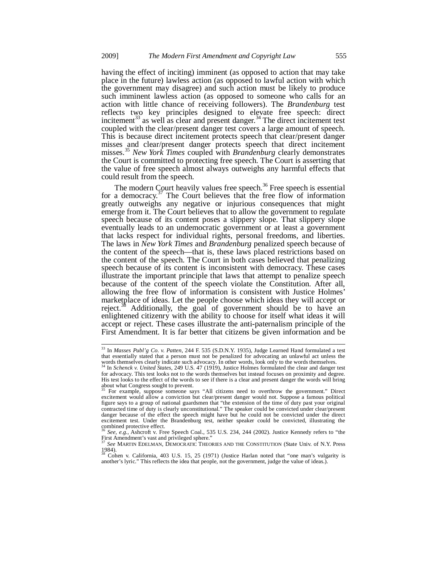having the effect of inciting) imminent (as opposed to action that may take place in the future) lawless action (as opposed to lawful action with which the government may disagree) and such action must be likely to produce such imminent lawless action (as opposed to someone who calls for an action with little chance of receiving followers). The *Brandenburg* test reflects two key principles designed to elevate free speech: direct incitement<sup>33</sup> as well as clear and present danger.<sup>34</sup> The direct incitement test coupled with the clear/present danger test covers a large amount of speech. This is because direct incitement protects speech that clear/present danger misses and clear/present danger protects speech that direct incitement misses.<sup>35</sup> *New York Times* coupled with *Brandenburg* clearly demonstrates the Court is committed to protecting free speech. The Court is asserting that the value of free speech almost always outweighs any harmful effects that could result from the speech.

The modern Court heavily values free speech.<sup>36</sup> Free speech is essential for a democracy.<sup>37</sup> The Court believes that the free flow of information greatly outweighs any negative or injurious consequences that might emerge from it. The Court believes that to allow the government to regulate speech because of its content poses a slippery slope. That slippery slope eventually leads to an undemocratic government or at least a government that lacks respect for individual rights, personal freedoms, and liberties. The laws in *New York Times* and *Brandenburg* penalized speech because of the content of the speech—that is, these laws placed restrictions based on the content of the speech. The Court in both cases believed that penalizing speech because of its content is inconsistent with democracy. These cases illustrate the important principle that laws that attempt to penalize speech because of the content of the speech violate the Constitution. After all, allowing the free flow of information is consistent with Justice Holmes' marketplace of ideas. Let the people choose which ideas they will accept or reject.<sup>38</sup> Additionally, the goal of government should be to have an enlightened citizenry with the ability to choose for itself what ideas it will accept or reject. These cases illustrate the anti-paternalism principle of the First Amendment. It is far better that citizens be given information and be

<sup>33</sup> In *Masses Publ'g Co. v. Patten*, 244 F. 535 (S.D.N.Y. 1935), Judge Learned Hand formulated a test that essentially stated that a person must not be penalized for advocating an unlawful act unless the

words themselves clearly indicate such advocacy. In other words, look only to the words themselves. 34 In *Schenck v. United States*, 249 U.S. 47 (1919), Justice Holmes formulated the clear and danger test for advocacy. This test looks not to the words themselves but instead focuses on proximity and degree. His test looks to the effect of the words to see if there is a clear and present danger the words will bring about what Congress sought to prevent.

<sup>35</sup> For example, suppose someone says "All citizens need to overthrow the government." Direct excitement would allow a conviction but clear/present danger would not. Suppose a famous political figure says to a group of national guardsmen that "the extension of the time of duty past your original contracted time of duty is clearly unconstitutional." The speaker could be convicted under clear/present danger because of the effect the speech might have but he could not be convicted under the direct excitement test. Under the Brandenburg test, neither speaker could be convicted, illustrating the combined protective effect.

<sup>36</sup> *See, e.g.*, Ashcroft v. Free Speech Coal., 535 U.S. 234, 244 (2002). Justice Kennedy refers to "the First Amendment's vast and privileged sphere."

<sup>37</sup> *See* MARTIN EDELMAN, DEMOCRATIC THEORIES AND THE CONSTITUTION (State Univ. of N.Y. Press 1984). 38 Cohen v. California, 403 U.S. 15, 25 (1971) (Justice Harlan noted that "one man's vulgarity is

another's lyric." This reflects the idea that people, not the government, judge the value of ideas.).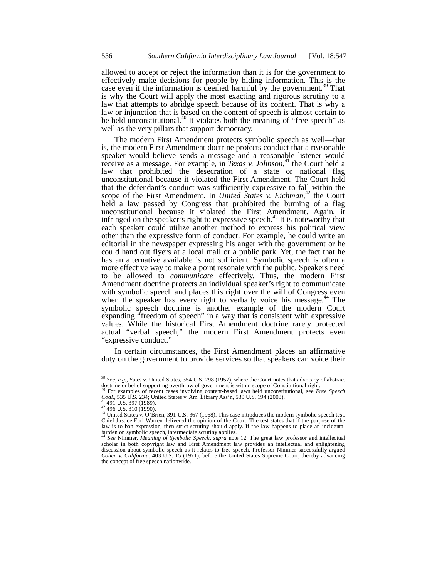allowed to accept or reject the information than it is for the government to effectively make decisions for people by hiding information. This is the case even if the information is deemed harmful by the government.<sup>39</sup> That is why the Court will apply the most exacting and rigorous scrutiny to a law that attempts to abridge speech because of its content. That is why a law or injunction that is based on the content of speech is almost certain to be held unconstitutional.<sup>40</sup> It violates both the meaning of "free speech" as well as the very pillars that support democracy.

The modern First Amendment protects symbolic speech as well—that is, the modern First Amendment doctrine protects conduct that a reasonable speaker would believe sends a message and a reasonable listener would receive as a message. For example, in *Texas v. Johnson*, 41 the Court held a law that prohibited the desecration of a state or national flag unconstitutional because it violated the First Amendment. The Court held that the defendant's conduct was sufficiently expressive to fall within the scope of the First Amendment. In *United Štates v. Eichman*,<sup>42</sup> the Court held a law passed by Congress that prohibited the burning of a flag unconstitutional because it violated the First Amendment. Again, it infringed on the speaker's right to expressive speech.<sup>43</sup> It is noteworthy that each speaker could utilize another method to express his political view other than the expressive form of conduct. For example, he could write an editorial in the newspaper expressing his anger with the government or he could hand out flyers at a local mall or a public park. Yet, the fact that he has an alternative available is not sufficient. Symbolic speech is often a more effective way to make a point resonate with the public. Speakers need to be allowed to *communicate* effectively. Thus, the modern First Amendment doctrine protects an individual speaker's right to communicate with symbolic speech and places this right over the will of Congress even when the speaker has every right to verbally voice his message.<sup>44</sup> The symbolic speech doctrine is another example of the modern Court expanding "freedom of speech" in a way that is consistent with expressive values. While the historical First Amendment doctrine rarely protected actual "verbal speech," the modern First Amendment protects even "expressive conduct."

In certain circumstances, the First Amendment places an affirmative duty on the government to provide services so that speakers can voice their

<sup>39</sup> *See, e.g.*, Yates v. United States, 354 U.S. 298 (1957), where the Court notes that advocacy of abstract doctrine or belief supporting overthrow of government is within scope of Constitutional right.

<sup>40</sup> For examples of recent cases involving content-based laws held unconstitutional, see *Free Speech* Coal., 535 U.S. 234; United States v. Am. Library Ass'n, 539 U.S. 194 (2003).

*Coal.*, 535 U.S. 234; United States v. Am. Library Ass'n, 539 U.S. 194 (2003).<br><sup>42</sup> 491 U.S. 397 (1989).<br><sup>42</sup> 496 U.S. 310 (1990).<br><sup>42</sup> 496 U.S. 310 (1990).<br><sup>43</sup> United States v. O'Brien, 391 U.S. 367 (1968). This case in law is to ban expression, then strict scrutiny should apply. If the law happens to place an incidental burden on symbolic speech, intermediate scrutiny applies.

<sup>44</sup> *See* Nimmer, *Meaning of Symbolic Speech*, *supra* note 12. The great law professor and intellectual scholar in both copyright law and First Amendment law provides an intellectual and enlightening discussion about symbolic speech as it relates to free speech. Professor Nimmer successfully argued *Cohen v. California*, 403 U.S. 15 (1971), before the United States Supreme Court, thereby advancing the concept of free speech nationwide.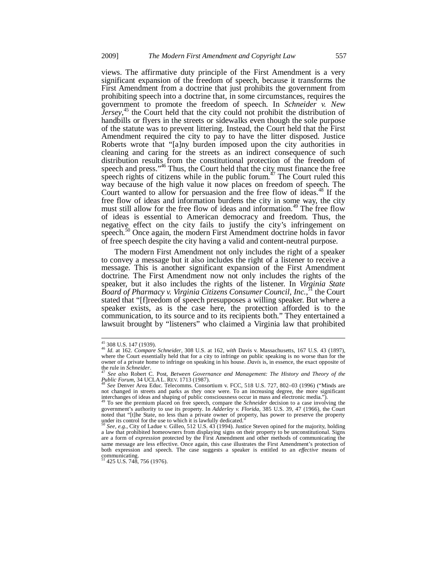views. The affirmative duty principle of the First Amendment is a very significant expansion of the freedom of speech, because it transforms the First Amendment from a doctrine that just prohibits the government from prohibiting speech into a doctrine that, in some circumstances, requires the government to promote the freedom of speech. In *Schneider v. New*  Jersey,<sup>45</sup> the Court held that the city could not prohibit the distribution of handbills or flyers in the streets or sidewalks even though the sole purpose of the statute was to prevent littering. Instead, the Court held that the First Amendment required the city to pay to have the litter disposed. Justice Roberts wrote that "[a]ny burden imposed upon the city authorities in cleaning and caring for the streets as an indirect consequence of such distribution results from the constitutional protection of the freedom of speech and press."<sup>46</sup> Thus, the Court held that the city must finance the free speech rights of citizens while in the public forum.<sup> $47$ </sup> The Court ruled this way because of the high value it now places on freedom of speech. The Court wanted to allow for persuasion and the free flow of ideas. $48$  If the free flow of ideas and information burdens the city in some way, the city must still allow for the free flow of ideas and information.<sup>49</sup> The free flow of ideas is essential to American democracy and freedom. Thus, the negative effect on the city fails to justify the city's infringement on speech.<sup>50</sup> Once again, the modern First Amendment doctrine holds in favor of free speech despite the city having a valid and content-neutral purpose.

The modern First Amendment not only includes the right of a speaker to convey a message but it also includes the right of a listener to receive a message. This is another significant expansion of the First Amendment doctrine. The First Amendment now not only includes the rights of the speaker, but it also includes the rights of the listener. In *Virginia State Board of Pharmacy v. Virginia Citizens Consumer Council, Inc.*, 51 the Court stated that "[f]reedom of speech presupposes a willing speaker. But where a speaker exists, as is the case here, the protection afforded is to the communication, to its source and to its recipients both." They entertained a lawsuit brought by "listeners" who claimed a Virginia law that prohibited

<sup>45 308</sup> U.S. 147 (1939). 46 *Id.* at 162. *Compare Schneider*, 308 U.S. at 162, *with* Davis v. Massachusetts, 167 U.S. 43 (1897), where the Court essentially held that for a city to infringe on public speaking is no worse than for the owner of a private home to infringe on speaking in his house. *Davis* is, in essence, the exact opposite of the rule in *Schneider*. the rule in *Schneider*. 47 *See also* Robert C. Post, *Between Governance and Management: The History and Theory of the* 

*Public Forum*, 34 UCLAL. REV. 1713 (1987).<br><sup>48</sup> *See* Denver Area Educ. Telecomms. Consortium v. FCC, 518 U.S. 727, 802–03 (1996) ("Minds are

not changed in streets and parks as they once were. To an increasing degree, the more significant interchanges of ideas and shaping of public consciousness occur in mass and electronic media.").

<sup>49</sup> To see the premium placed on free speech, compare the *Schneider* decision to a case involving the government's authority to use its property. In *Adderley v. Florida*, 385 U.S. 39, 47 (1966), the Court noted that "[t]he State, no less than a private owner of property, has power to preserve the property under its control for the use to which it is lawfully dedicated."

<sup>50</sup> *See, e.g.*, City of Ladue v. Gilleo, 512 U.S. 43 (1994). Justice Steven opined for the majority, holding a law that prohibited homeowners from displaying signs on their property to be unconstitutional. Signs are a form of *expression* protected by the First Amendment and other methods of communicating the same message are less effective. Once again, this case illustrates the First Amendment's protection of both expression and speech. The case suggests a speaker is entitled to an *effective* means of communicating.<br><sup>51</sup> 425 U.S. 748, 756 (1976).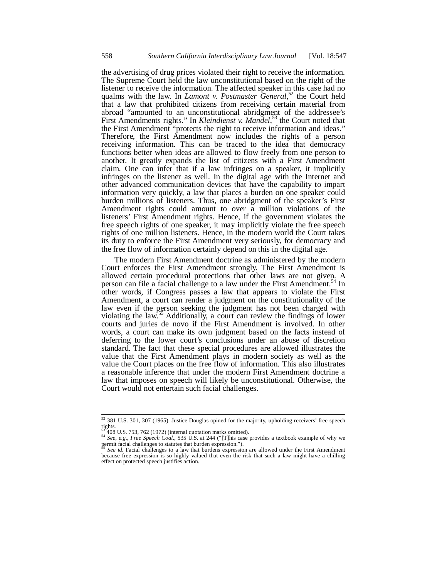the advertising of drug prices violated their right to receive the information. The Supreme Court held the law unconstitutional based on the right of the listener to receive the information. The affected speaker in this case had no qualms with the law. In *Lamont v. Postmaster General*, 52 the Court held that a law that prohibited citizens from receiving certain material from abroad "amounted to an unconstitutional abridgment of the addressee's First Amendments rights." In *Kleindienst v. Mandel*, 53 the Court noted that the First Amendment "protects the right to receive information and ideas." Therefore, the First Amendment now includes the rights of a person receiving information. This can be traced to the idea that democracy functions better when ideas are allowed to flow freely from one person to another. It greatly expands the list of citizens with a First Amendment claim. One can infer that if a law infringes on a speaker, it implicitly infringes on the listener as well. In the digital age with the Internet and other advanced communication devices that have the capability to impart information very quickly, a law that places a burden on one speaker could burden millions of listeners. Thus, one abridgment of the speaker's First Amendment rights could amount to over a million violations of the listeners' First Amendment rights. Hence, if the government violates the free speech rights of one speaker, it may implicitly violate the free speech rights of one million listeners. Hence, in the modern world the Court takes its duty to enforce the First Amendment very seriously, for democracy and the free flow of information certainly depend on this in the digital age.

The modern First Amendment doctrine as administered by the modern Court enforces the First Amendment strongly. The First Amendment is allowed certain procedural protections that other laws are not given. A person can file a facial challenge to a law under the First Amendment.<sup>54</sup> In other words, if Congress passes a law that appears to violate the First Amendment, a court can render a judgment on the constitutionality of the law even if the person seeking the judgment has not been charged with violating the law.<sup>55</sup> Additionally, a court can review the findings of lower courts and juries de novo if the First Amendment is involved. In other words, a court can make its own judgment based on the facts instead of deferring to the lower court's conclusions under an abuse of discretion standard. The fact that these special procedures are allowed illustrates the value that the First Amendment plays in modern society as well as the value the Court places on the free flow of information. This also illustrates a reasonable inference that under the modern First Amendment doctrine a law that imposes on speech will likely be unconstitutional. Otherwise, the Court would not entertain such facial challenges.

 $52$  381 U.S. 301, 307 (1965). Justice Douglas opined for the majority, upholding receivers' free speech rights.<br> $53\frac{200}{408}$  U.S. 753, 762 (1972) (internal quotation marks omitted).

 $54\,$  See, e.g., *Free Speech Coal.*, 535 U.S. at 244 ("[T]his case provides a textbook example of why we permit facial challenges to statutes that burden expression.").

<sup>55</sup> *See id.* Facial challenges to a law that burdens expression are allowed under the First Amendment because free expression is so highly valued that even the risk that such a law might have a chilling effect on protected speech justifies action.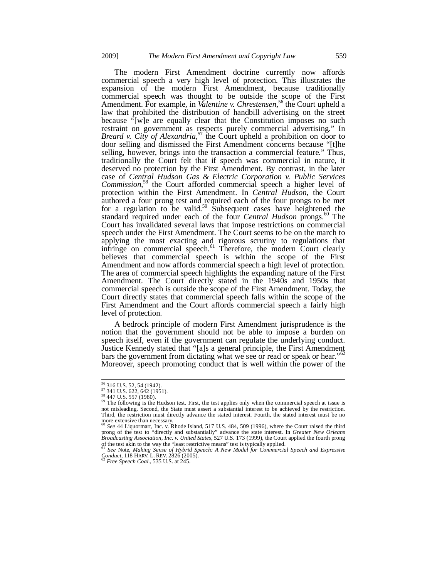The modern First Amendment doctrine currently now affords commercial speech a very high level of protection. This illustrates the expansion of the modern First Amendment, because traditionally commercial speech was thought to be outside the scope of the First Amendment. For example, in *Valentine v. Chrestensen*, 56 the Court upheld a law that prohibited the distribution of handbill advertising on the street because "[w]e are equally clear that the Constitution imposes no such restraint on government as respects purely commercial advertising." In Breard v. City of Alexandria,<sup>57</sup> the Court upheld a prohibition on door to door selling and dismissed the First Amendment concerns because "[t]he selling, however, brings into the transaction a commercial feature." Thus, traditionally the Court felt that if speech was commercial in nature, it deserved no protection by the First Amendment. By contrast, in the later case of *Central Hudson Gas & Electric Corporation v. Public Services Commission*, 58 the Court afforded commercial speech a higher level of protection within the First Amendment. In *Central Hudson*, the Court authored a four prong test and required each of the four prongs to be met for a regulation to be valid.<sup>59</sup> Subsequent cases have heightened the standard required under each of the four *Central Hudson* prongs.<sup>60</sup> The Court has invalidated several laws that impose restrictions on commercial speech under the First Amendment. The Court seems to be on the march to applying the most exacting and rigorous scrutiny to regulations that infringe on commercial speech.<sup>61</sup> Therefore, the modern Court clearly believes that commercial speech is within the scope of the First Amendment and now affords commercial speech a high level of protection. The area of commercial speech highlights the expanding nature of the First Amendment. The Court directly stated in the 1940s and 1950s that commercial speech is outside the scope of the First Amendment. Today, the Court directly states that commercial speech falls within the scope of the First Amendment and the Court affords commercial speech a fairly high level of protection.

A bedrock principle of modern First Amendment jurisprudence is the notion that the government should not be able to impose a burden on speech itself, even if the government can regulate the underlying conduct. Justice Kennedy stated that "[a]s a general principle, the First Amendment bars the government from dictating what we see or read or speak or hear."<sup>62</sup> Moreover, speech promoting conduct that is well within the power of the

 $\frac{56}{57}$  316 U.S. 52, 54 (1942).<br>
57 341 U.S. 622, 642 (1951).<br>
58 447 U.S. 557 (1980).

 $59$  The following is the Hudson test. First, the test applies only when the commercial speech at issue is not misleading. Second, the State must assert a substantial interest to be achieved by the restriction. Third, the restriction must directly advance the stated interest. Fourth, the stated interest must be no

more extensive than necessary.<br><sup>60</sup> See 44 Liquormart, Inc. v. Rhode Island, 517 U.S. 484, 509 (1996), where the Court raised the third<br>prong of the test to "directly and substantially" advance the state interest. In *Grea* of the test akin to the way the "least restrictive means" test is typically applied. <sup>61</sup> *See* Note, *Making Sense of Hybrid Speech: A New Model for Commercial Speech and Expressive* 

*Conduct*, 118 HARV. L. REV. 2826 (2005). 62 *Free Speech Coal.*, 535 U.S. at 245.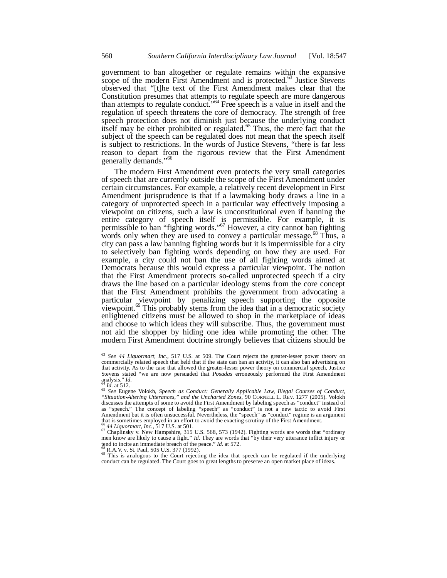government to ban altogether or regulate remains within the expansive scope of the modern First Amendment and is protected.<sup>63</sup> Justice Stevens observed that "[t]he text of the First Amendment makes clear that the Constitution presumes that attempts to regulate speech are more dangerous than attempts to regulate conduct."<sup>64</sup> Free speech is a value in itself and the regulation of speech threatens the core of democracy. The strength of free speech protection does not diminish just because the underlying conduct itself may be either prohibited or regulated.<sup>65</sup> Thus, the mere fact that the subject of the speech can be regulated does not mean that the speech itself is subject to restrictions. In the words of Justice Stevens, "there is far less reason to depart from the rigorous review that the First Amendment generally demands."<sup>66</sup>

The modern First Amendment even protects the very small categories of speech that are currently outside the scope of the First Amendment under certain circumstances. For example, a relatively recent development in First Amendment jurisprudence is that if a lawmaking body draws a line in a category of unprotected speech in a particular way effectively imposing a viewpoint on citizens, such a law is unconstitutional even if banning the entire category of speech itself is permissible. For example, it is permissible to ban "fighting words."<sup>67</sup> However, a city cannot ban fighting words only when they are used to convey a particular message.<sup>68</sup> Thus, a city can pass a law banning fighting words but it is impermissible for a city to selectively ban fighting words depending on how they are used. For example, a city could not ban the use of all fighting words aimed at Democrats because this would express a particular viewpoint. The notion that the First Amendment protects so-called unprotected speech if a city draws the line based on a particular ideology stems from the core concept that the First Amendment prohibits the government from advocating a particular viewpoint by penalizing speech supporting the opposite viewpoint.<sup>69</sup> This probably stems from the idea that in a democratic society enlightened citizens must be allowed to shop in the marketplace of ideas and choose to which ideas they will subscribe. Thus, the government must not aid the shopper by hiding one idea while promoting the other. The modern First Amendment doctrine strongly believes that citizens should be

-

<sup>63</sup> This is analogous to the Court rejecting the idea that speech can be regulated if the underlying conduct can be regulated. The Court goes to great lengths to preserve an open market place of ideas.

<sup>63</sup> *See 44 Liquormart, Inc.*, 517 U.S. at 509. The Court rejects the greater-lesser power theory on commercially related speech that held that if the state can ban an activity, it can also ban advertising on that activity. As to the case that allowed the greater-lesser power theory on commercial speech, Justice Stevens stated "we are now persuaded that *Posadas* erroneously performed the First Amendment analysis." *Id.* 

analysis." Id.<br><sup>64</sup> Id. at 512.<br><sup>65</sup> *See* Eugene Volokh, *Speech as Conduct: Generally Applicable Law, Illegal Courses of Conduct,<br>"S<i>ituation-Altering Utterances," and the Uncharted Zones, 90 CORNELL L. REV. 1277 (2005).* as "speech." The concept of labeling "speech" as "conduct" is not a new tactic to avoid First Amendment but it is often unsuccessful. Nevertheless, the "speech" as "conduct" regime is an argument that is sometimes employed in an effort to avoid the exacting scrutiny of the First Amendment.<br><sup>66</sup> 44 Liquormart, Inc., 517 U.S. at 501.

<sup>&</sup>lt;sup>66</sup> 44 Liquormart, Inc., 517 U.S. at 501.<br><sup>67</sup> Chaplinsky v. New Hampshire, 315 U.S. 568, 573 (1942). Fighting words are words that "ordinary men know are likely to cause a fight." Id. They are words that "by their very tend to incite an immediate breach of the peace." *Id.* at 572.<br><sup>68</sup> R.A.V. v. St. Paul, 505 U.S. 377 (1992).<br><sup>69</sup> This is analogous to the Court rejecting the idea that speech can be regulated if the underlying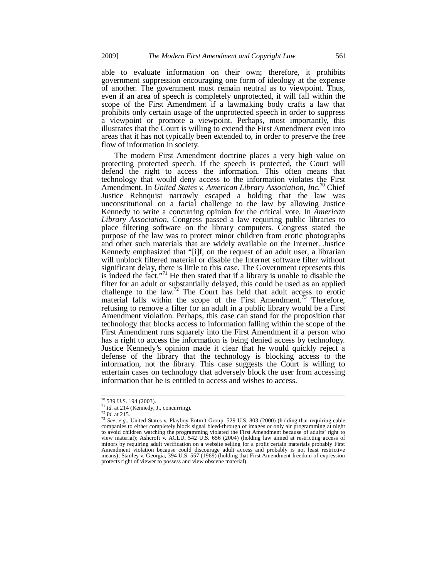able to evaluate information on their own; therefore, it prohibits government suppression encouraging one form of ideology at the expense of another. The government must remain neutral as to viewpoint. Thus, even if an area of speech is completely unprotected, it will fall within the scope of the First Amendment if a lawmaking body crafts a law that prohibits only certain usage of the unprotected speech in order to suppress a viewpoint or promote a viewpoint. Perhaps, most importantly, this illustrates that the Court is willing to extend the First Amendment even into areas that it has not typically been extended to, in order to preserve the free flow of information in society.

The modern First Amendment doctrine places a very high value on protecting protected speech. If the speech is protected, the Court will defend the right to access the information. This often means that technology that would deny access to the information violates the First Amendment. In *United States v. American Library Association, Inc.*<sup>70</sup> Chief Justice Rehnquist narrowly escaped a holding that the law was unconstitutional on a facial challenge to the law by allowing Justice Kennedy to write a concurring opinion for the critical vote. In *American Library Association*, Congress passed a law requiring public libraries to place filtering software on the library computers. Congress stated the purpose of the law was to protect minor children from erotic photographs and other such materials that are widely available on the Internet. Justice Kennedy emphasized that "[i]f, on the request of an adult user, a librarian will unblock filtered material or disable the Internet software filter without significant delay, there is little to this case. The Government represents this is indeed the fact."<sup>71</sup> He then stated that if a library is unable to disable the filter for an adult or substantially delayed, this could be used as an applied challenge to the law.<sup>72</sup> The Court has held that adult access to erotic material falls within the scope of the First Amendment.<sup>73</sup> Therefore, refusing to remove a filter for an adult in a public library would be a First Amendment violation. Perhaps, this case can stand for the proposition that technology that blocks access to information falling within the scope of the First Amendment runs squarely into the First Amendment if a person who has a right to access the information is being denied access by technology. Justice Kennedy's opinion made it clear that he would quickly reject a defense of the library that the technology is blocking access to the information, not the library. This case suggests the Court is willing to entertain cases on technology that adversely block the user from accessing information that he is entitled to access and wishes to access.

<sup>70 539</sup> U.S. 194 (2003).

<sup>&</sup>lt;sup>71</sup> *Id.* at 214 (Kennedy, J., concurring).<br><sup>72</sup> *Id.* at 215.<br><sup>73</sup> *See, e.g.*, United States v. Playboy Entm't Group, 529 U.S. 803 (2000) (holding that requiring cable companies to either completely block signal bleed-through of images or only air programming at night to avoid children watching the programming violated the First Amendment because of adults' right to view material); Ashcroft v. ACLU, 542 U.S. 656 (2004) (holding law aimed at restricting access of minors by requiring adult verification on a website selling for a profit certain materials probably First Amendment violation because could discourage adult access and probably is not least restrictive means); Stanley v. Georgia, 394 U.S. 557 (1969) (holding that First Amendment freedom of expression protects right of viewer to possess and view obscene material).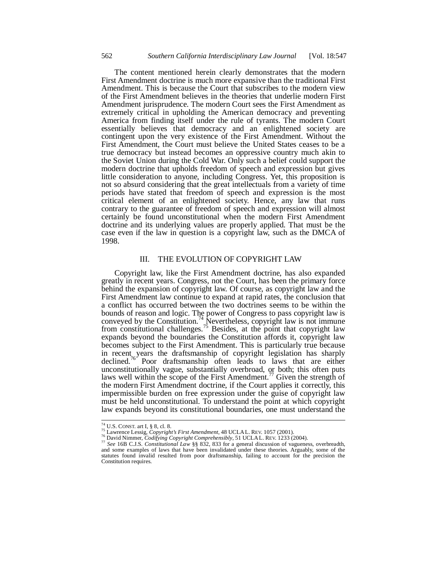The content mentioned herein clearly demonstrates that the modern First Amendment doctrine is much more expansive than the traditional First Amendment. This is because the Court that subscribes to the modern view of the First Amendment believes in the theories that underlie modern First Amendment jurisprudence. The modern Court sees the First Amendment as extremely critical in upholding the American democracy and preventing America from finding itself under the rule of tyrants. The modern Court essentially believes that democracy and an enlightened society are contingent upon the very existence of the First Amendment. Without the First Amendment, the Court must believe the United States ceases to be a true democracy but instead becomes an oppressive country much akin to the Soviet Union during the Cold War. Only such a belief could support the modern doctrine that upholds freedom of speech and expression but gives little consideration to anyone, including Congress. Yet, this proposition is not so absurd considering that the great intellectuals from a variety of time periods have stated that freedom of speech and expression is the most critical element of an enlightened society. Hence, any law that runs contrary to the guarantee of freedom of speech and expression will almost certainly be found unconstitutional when the modern First Amendment doctrine and its underlying values are properly applied. That must be the case even if the law in question is a copyright law, such as the DMCA of 1998.

## III. THE EVOLUTION OF COPYRIGHT LAW

Copyright law, like the First Amendment doctrine, has also expanded greatly in recent years. Congress, not the Court, has been the primary force behind the expansion of copyright law. Of course, as copyright law and the First Amendment law continue to expand at rapid rates, the conclusion that a conflict has occurred between the two doctrines seems to be within the bounds of reason and logic. The power of Congress to pass copyright law is conveyed by the Constitution.<sup>74</sup> Nevertheless, copyright law is not immune from constitutional challenges.<sup>75</sup> Besides, at the point that copyright law expands beyond the boundaries the Constitution affords it, copyright law becomes subject to the First Amendment. This is particularly true because in recent years the draftsmanship of copyright legislation has sharply declined.<sup>76</sup> Poor draftsmanship often leads to laws that are either unconstitutionally vague, substantially overbroad, or both; this often puts laws well within the scope of the First Amendment.<sup>77</sup> Given the strength of the modern First Amendment doctrine, if the Court applies it correctly, this impermissible burden on free expression under the guise of copyright law must be held unconstitutional. To understand the point at which copyright law expands beyond its constitutional boundaries, one must understand the

-

<sup>&</sup>lt;sup>74</sup> U.S. CONST. art I, § 8, cl. 8.<br><sup>75</sup> Lawrence Lessig, *Copyright's First Amendment*, 48 UCLAL. REV. 1057 (2001).<br><sup>76</sup> David Nimmer, *Codifying Copyright Comprehensibly*, 51 UCLAL. REV. 1233 (2004).<br><sup>77</sup> See 16B C.J.S.

<sup>&</sup>lt;sup>71</sup> See 16B C.J.S. Constitutional Law §§ 832, 833 for a general discussion of vagueness, overbreadth, and some examples of laws that have been invalidated under these theories. Arguably, some of the statutes found invalid resulted from poor draftsmanship, failing to account for the precision the Constitution requires.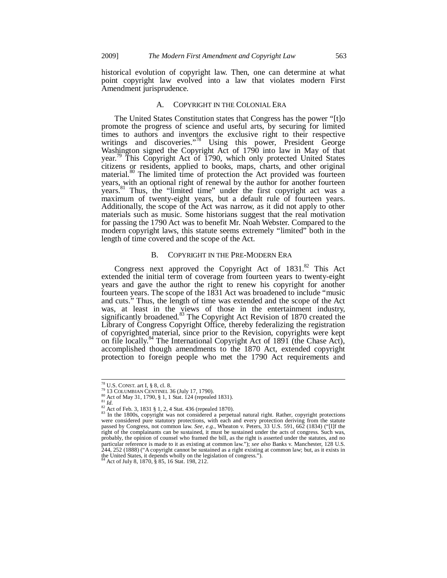historical evolution of copyright law. Then, one can determine at what point copyright law evolved into a law that violates modern First Amendment jurisprudence.

## A. COPYRIGHT IN THE COLONIAL ERA

The United States Constitution states that Congress has the power "[t]o promote the progress of science and useful arts, by securing for limited times to authors and inventors the exclusive right to their respective writings and discoveries."<sup>78</sup> Using this power, President George Washington signed the Copyright Act of 1790 into law in May of that year.<sup>79</sup> This Copyright Act of 1790, which only protected United States citizens or residents, applied to books, maps, charts, and other original material.<sup>80</sup> The limited time of protection the Act provided was fourteen years, with an optional right of renewal by the author for another fourteen years.<sup>81</sup> Thus, the "limited time" under the first copyright act was a maximum of twenty-eight years, but a default rule of fourteen years. Additionally, the scope of the Act was narrow, as it did not apply to other materials such as music. Some historians suggest that the real motivation for passing the 1790 Act was to benefit Mr. Noah Webster. Compared to the modern copyright laws, this statute seems extremely "limited" both in the length of time covered and the scope of the Act.

#### B. COPYRIGHT IN THE PRE-MODERN ERA

Congress next approved the Copyright Act of  $1831$ .<sup>82</sup> This Act extended the initial term of coverage from fourteen years to twenty-eight years and gave the author the right to renew his copyright for another fourteen years. The scope of the 1831 Act was broadened to include "music and cuts." Thus, the length of time was extended and the scope of the Act was, at least in the views of those in the entertainment industry, significantly broadened.<sup>83</sup> The Copyright Act Revision of 1870 created the Library of Congress Copyright Office, thereby federalizing the registration of copyrighted material, since prior to the Revision, copyrights were kept on file locally.<sup>84</sup> The International Copyright Act of 1891 (the Chase Act), accomplished though amendments to the 1870 Act, extended copyright protection to foreign people who met the 1790 Act requirements and

<sup>&</sup>lt;sup>78</sup> U.S. CONST. art I, § 8, cl. 8.

<sup>&</sup>lt;sup>79</sup> U.S. CONST. art 1, § 8, ci. 8.<br><sup>87</sup> 13 COLUMBIAN CENTINEL 36 (July 17, 1790).<br><sup>80</sup> Act of May 31, 1790, § 1, 1 Stat. 124 (repealed 1831).<br><sup>81</sup> Id.<br><sup>82</sup> Act of Feb. 3, 1831 § 1, 2, 4 Stat. 436 (repealed 1870).<br><sup>82</sup> In were considered pure statutory protections, with each and every protection deriving from the statute passed by Congress, not common law. *See, e.g.*, Wheaton v. Peters, 33 U.S. 591, 662 (1834) ("[I]f the right of the complainants can be sustained, it must be sustained under the acts of congress. Such was, probably, the opinion of counsel who framed the bill, as the right is asserted under the statutes, and no particular reference is made to it as existing at common law."); *see also* Banks v. Manchester, 128 U.S.<br>244, 252 (1888) ("A copyright cannot be sustained as a right existing at common law; but, as it exists in the United States, it depends wholly on the legislation of congress.").

<sup>84</sup> Act of July 8, 1870, § 85, 16 Stat. 198, 212.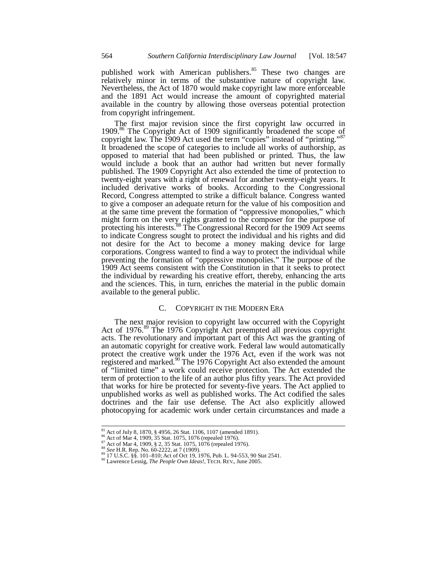published work with American publishers.<sup>85</sup> These two changes are relatively minor in terms of the substantive nature of copyright law. Nevertheless, the Act of 1870 would make copyright law more enforceable and the 1891 Act would increase the amount of copyrighted material available in the country by allowing those overseas potential protection from copyright infringement.

The first major revision since the first copyright law occurred in 1909.<sup>86</sup> The Copyright Act of 1909 significantly broadened the scope of copyright law. The 1909 Act used the term "copies" instead of "printing." It broadened the scope of categories to include all works of authorship, as opposed to material that had been published or printed. Thus, the law would include a book that an author had written but never formally published. The 1909 Copyright Act also extended the time of protection to twenty-eight years with a right of renewal for another twenty-eight years. It included derivative works of books. According to the Congressional Record, Congress attempted to strike a difficult balance. Congress wanted to give a composer an adequate return for the value of his composition and at the same time prevent the formation of "oppressive monopolies," which might form on the very rights granted to the composer for the purpose of protecting his interests.<sup>88</sup> The Congressional Record for the 1909 Act seems to indicate Congress sought to protect the individual and his rights and did not desire for the Act to become a money making device for large corporations. Congress wanted to find a way to protect the individual while preventing the formation of "oppressive monopolies." The purpose of the 1909 Act seems consistent with the Constitution in that it seeks to protect the individual by rewarding his creative effort, thereby, enhancing the arts and the sciences. This, in turn, enriches the material in the public domain available to the general public.

#### C. COPYRIGHT IN THE MODERN ERA

The next major revision to copyright law occurred with the Copyright Act of 1976.<sup>89</sup> The 1976 Copyright Act preempted all previous copyright acts. The revolutionary and important part of this Act was the granting of an automatic copyright for creative work. Federal law would automatically protect the creative work under the 1976 Act, even if the work was not registered and marked.<sup>90</sup> The 1976 Copyright Act also extended the amount of "limited time" a work could receive protection. The Act extended the term of protection to the life of an author plus fifty years. The Act provided that works for hire be protected for seventy-five years. The Act applied to unpublished works as well as published works. The Act codified the sales doctrines and the fair use defense. The Act also explicitly allowed photocopying for academic work under certain circumstances and made a

 $\frac{85}{86}$  Act of July 8, 1870, § 4956, 26 Stat. 1106, 1107 (amended 1891).<br>
Act of Mar 4, 1909, 35 Stat. 1075, 1076 (repealed 1976).

<sup>&</sup>lt;sup>87</sup> Act of Mar 4, 1909, § 2, 35 Stat. 1075, 1076 (repeated 1976).<br>
<sup>87</sup> Act of Mar 4, 1909, § 2, 35 Stat. 1075, 1076 (repeated 1976).<br>
<sup>88</sup> See H.R. Rep. No. 60-2222, at 7 (1909).<br>
<sup>89</sup> 17 U.S.C. §§. 101–810; Act of Oct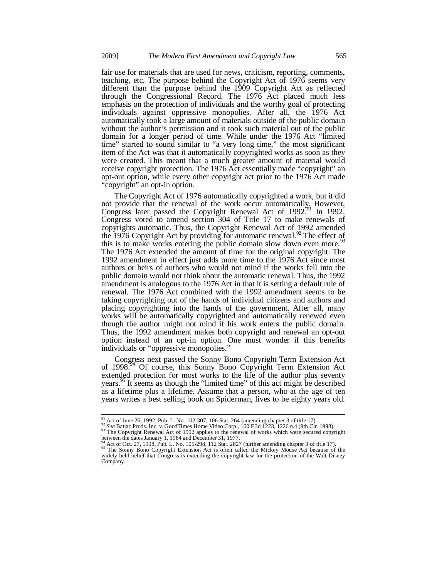fair use for materials that are used for news, criticism, reporting, comments, teaching, etc. The purpose behind the Copyright Act of 1976 seems very different than the purpose behind the 1909 Copyright Act as reflected through the Congressional Record. The 1976 Act placed much less emphasis on the protection of individuals and the worthy goal of protecting individuals against oppressive monopolies. After all, the 1976 Act automatically took a large amount of materials outside of the public domain without the author's permission and it took such material out of the public domain for a longer period of time. While under the 1976 Act "limited time" started to sound similar to "a very long time," the most significant item of the Act was that it automatically copyrighted works as soon as they were created. This meant that a much greater amount of material would receive copyright protection. The 1976 Act essentially made "copyright" an opt-out option, while every other copyright act prior to the 1976 Act made "copyright" an opt-in option.

The Copyright Act of 1976 automatically copyrighted a work, but it did not provide that the renewal of the work occur automatically. However, Congress later passed the Copyright Renewal Act of 1992.<sup>91</sup> In 1992, Congress voted to amend section 304 of Title 17 to make renewals of copyrights automatic. Thus, the Copyright Renewal Act of 1992 amended the 1976 Copyright Act by providing for automatic renewal.<sup>92</sup> The effect of this is to make works entering the public domain slow down even more.<sup>93</sup> The 1976 Act extended the amount of time for the original copyright. The 1992 amendment in effect just adds more time to the 1976 Act since most authors or heirs of authors who would not mind if the works fell into the public domain would not think about the automatic renewal. Thus, the 1992 amendment is analogous to the 1976 Act in that it is setting a default rule of renewal. The 1976 Act combined with the 1992 amendment seems to be taking copyrighting out of the hands of individual citizens and authors and placing copyrighting into the hands of the government. After all, many works will be automatically copyrighted and automatically renewed even though the author might not mind if his work enters the public domain. Thus, the 1992 amendment makes both copyright and renewal an opt-out option instead of an opt-in option. One must wonder if this benefits individuals or "oppressive monopolies."

Congress next passed the Sonny Bono Copyright Term Extension Act of 1998.<sup>94</sup> Of course, this Sonny Bono Copyright Term Extension Act extended protection for most works to the life of the author plus seventy years.95 It seems as though the "limited time" of this act might be described as a lifetime plus a lifetime. Assume that a person, who at the age of ten years writes a best selling book on Spiderman, lives to be eighty years old.

<sup>&</sup>lt;sup>91</sup> Act of June 26, 1992, Pub. L. No. 102-307, 106 Stat. 264 (amending chapter 3 of title 17).

<sup>&</sup>lt;sup>92</sup> See Batjac Prods. Inc. v. GoodTimes Home Video Corp., 160 F.3d 1223, 1226 n.4 (9th Cir. 1998).<br><sup>92</sup> See Batjac Prods. Inc. v. GoodTimes Home Video Corp., 160 F.3d 1223, 1226 n.4 (9th Cir. 1998).<br><sup>93</sup> The Copyright Re

between the dates January 1, 1964 and December 31, 1977.<br><sup>94</sup> Act of Oct. 27, 1998, Pub. L. No. 105-298, 112 Stat. 2827 (further amending chapter 3 of title 17).<br><sup>95</sup> The Sonny Bono Copyright Extension Act is often called widely held belief that Congress is extending the copyright law for the protection of the Walt Disney Company.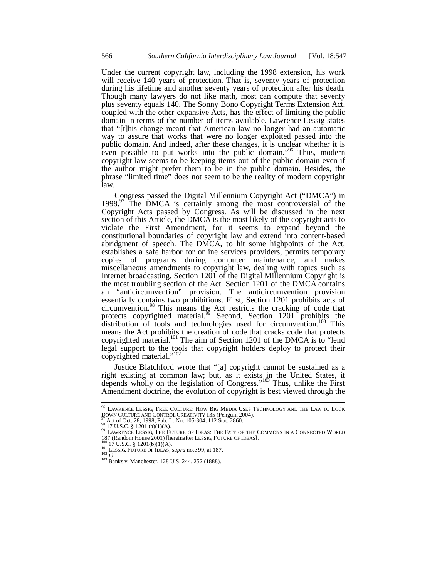Under the current copyright law, including the 1998 extension, his work will receive 140 years of protection. That is, seventy years of protection during his lifetime and another seventy years of protection after his death. Though many lawyers do not like math, most can compute that seventy plus seventy equals 140. The Sonny Bono Copyright Terms Extension Act, coupled with the other expansive Acts, has the effect of limiting the public domain in terms of the number of items available. Lawrence Lessig states that "[t]his change meant that American law no longer had an automatic way to assure that works that were no longer exploited passed into the public domain. And indeed, after these changes, it is unclear whether it is even possible to put works into the public domain."<sup>96</sup> Thus, modern copyright law seems to be keeping items out of the public domain even if the author might prefer them to be in the public domain. Besides, the phrase "limited time" does not seem to be the reality of modern copyright law.

Congress passed the Digital Millennium Copyright Act ("DMCA") in 1998.<sup>97</sup> The DMCA is certainly among the most controversial of the Copyright Acts passed by Congress. As will be discussed in the next section of this Article, the DMCA is the most likely of the copyright acts to violate the First Amendment, for it seems to expand beyond the constitutional boundaries of copyright law and extend into content-based abridgment of speech. The DMCA, to hit some highpoints of the Act, establishes a safe harbor for online services providers, permits temporary copies of programs during computer maintenance, and makes miscellaneous amendments to copyright law, dealing with topics such as Internet broadcasting. Section 1201 of the Digital Millennium Copyright is the most troubling section of the Act. Section 1201 of the DMCA contains an "anticircumvention" provision. The anticircumvention provision essentially contains two prohibitions. First, Section 1201 prohibits acts of circumvention.98 This means the Act restricts the cracking of code that protects copyrighted material.<sup>99</sup> Second, Section 1201 prohibits the distribution of tools and technologies used for circumvention.<sup>100</sup> This means the Act prohibits the creation of code that cracks code that protects copyrighted material.<sup>101</sup> The aim of Section 1201 of the DMCA is to "lend legal support to the tools that copyright holders deploy to protect their copyrighted material."<sup>102</sup>

Justice Blatchford wrote that "[a] copyright cannot be sustained as a right existing at common law; but, as it exists in the United States, it depends wholly on the legislation of Congress."<sup>103</sup> Thus, unlike the First Amendment doctrine, the evolution of copyright is best viewed through the

-

<sup>96</sup> LAWRENCE LESSIG, FREE CULTURE: HOW BIG MEDIA USES TECHNOLOGY AND THE LAW TO LOCK

DOWN CULTURE AND CONTROL CREATIVITY 135 (Penguin 2004).<br>
<sup>97</sup> Act of Oct. 28, 1998, Pub. L. No. 105-304, 112 Stat. 2860.<br>
<sup>98</sup> 17 U.S.C. § 1201 (a)(1)(A).<br>
<sup>99</sup> LAWRENCE LESSIG, THE FUTURE OF IDEAS: THE FATE OF THE COMMONS

<sup>&</sup>lt;sup>100</sup> 17 U.S.C. § 1201(b)(1)(A).<br><sup>101</sup> LESSIG, FUTURE OF IDEAS, *supra* note 99, at 187.<br><sup>102</sup> *Id.* 103 Banks v. Manchester, 128 U.S. 244, 252 (1888).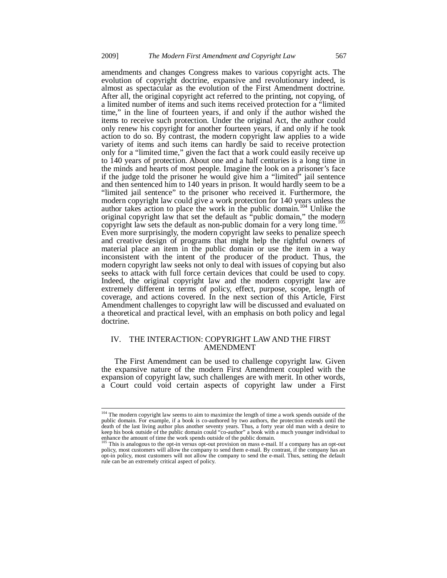amendments and changes Congress makes to various copyright acts. The evolution of copyright doctrine, expansive and revolutionary indeed, is almost as spectacular as the evolution of the First Amendment doctrine. After all, the original copyright act referred to the printing, not copying, of a limited number of items and such items received protection for a "limited time," in the line of fourteen years, if and only if the author wished the items to receive such protection. Under the original Act, the author could only renew his copyright for another fourteen years, if and only if he took action to do so. By contrast, the modern copyright law applies to a wide variety of items and such items can hardly be said to receive protection only for a "limited time," given the fact that a work could easily receive up to 140 years of protection. About one and a half centuries is a long time in the minds and hearts of most people. Imagine the look on a prisoner's face if the judge told the prisoner he would give him a "limited" jail sentence and then sentenced him to 140 years in prison. It would hardly seem to be a "limited jail sentence" to the prisoner who received it. Furthermore, the modern copyright law could give a work protection for 140 years unless the author takes action to place the work in the public domain.<sup>104</sup> Unlike the original copyright law that set the default as "public domain," the modern copyright law sets the default as non-public domain for a very long time.<sup>105</sup> Even more surprisingly, the modern copyright law seeks to penalize speech and creative design of programs that might help the rightful owners of material place an item in the public domain or use the item in a way inconsistent with the intent of the producer of the product. Thus, the modern copyright law seeks not only to deal with issues of copying but also seeks to attack with full force certain devices that could be used to copy. Indeed, the original copyright law and the modern copyright law are extremely different in terms of policy, effect, purpose, scope, length of coverage, and actions covered. In the next section of this Article, First Amendment challenges to copyright law will be discussed and evaluated on a theoretical and practical level, with an emphasis on both policy and legal doctrine.

## IV. THE INTERACTION: COPYRIGHT LAW AND THE FIRST AMENDMENT

The First Amendment can be used to challenge copyright law. Given the expansive nature of the modern First Amendment coupled with the expansion of copyright law, such challenges are with merit. In other words, a Court could void certain aspects of copyright law under a First

<sup>&</sup>lt;sup>104</sup> The modern copyright law seems to aim to maximize the length of time a work spends outside of the public domain. For example, if a book is co-authored by two authors, the protection extends until the death of the last living author plus another seventy years. Thus, a forty year old man with a desire to keep his book outside of the public domain could "co-author" a book with a much younger individual to

enhance the amount of time the work spends outside of the public domain.<br><sup>105</sup> This is analogous to the opt-in versus opt-out provision on mass e-mail. If a company has an opt-out policy, most customers will allow the company to send them e-mail. By contrast, if the company has an opt-in policy, most customers will not allow the company to send the e-mail. Thus, setting the default rule can be an extremely critical aspect of policy.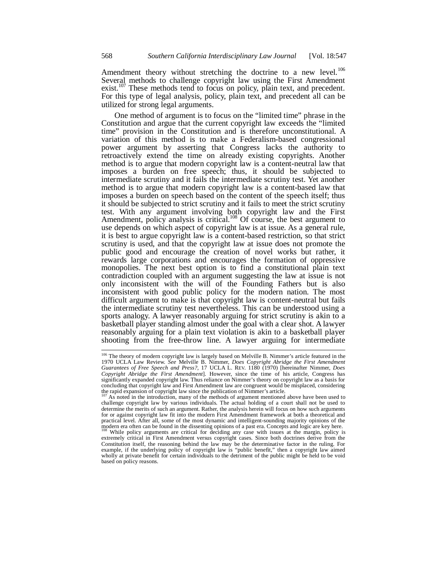Amendment theory without stretching the doctrine to a new level.<sup>106</sup> Several methods to challenge copyright law using the First Amendment exist.<sup>107</sup> These methods tend to focus on policy, plain text, and precedent. For this type of legal analysis, policy, plain text, and precedent all can be utilized for strong legal arguments.

One method of argument is to focus on the "limited time" phrase in the Constitution and argue that the current copyright law exceeds the "limited time" provision in the Constitution and is therefore unconstitutional. A variation of this method is to make a Federalism-based congressional power argument by asserting that Congress lacks the authority to retroactively extend the time on already existing copyrights. Another method is to argue that modern copyright law is a content-neutral law that imposes a burden on free speech; thus, it should be subjected to intermediate scrutiny and it fails the intermediate scrutiny test. Yet another method is to argue that modern copyright law is a content-based law that imposes a burden on speech based on the content of the speech itself; thus it should be subjected to strict scrutiny and it fails to meet the strict scrutiny test. With any argument involving both copyright law and the First Amendment, policy analysis is critical.<sup>108</sup> Of course, the best argument to use depends on which aspect of copyright law is at issue. As a general rule, it is best to argue copyright law is a content-based restriction, so that strict scrutiny is used, and that the copyright law at issue does not promote the public good and encourage the creation of novel works but rather, it rewards large corporations and encourages the formation of oppressive monopolies. The next best option is to find a constitutional plain text contradiction coupled with an argument suggesting the law at issue is not only inconsistent with the will of the Founding Fathers but is also inconsistent with good public policy for the modern nation. The most difficult argument to make is that copyright law is content-neutral but fails the intermediate scrutiny test nevertheless. This can be understood using a sports analogy. A lawyer reasonably arguing for strict scrutiny is akin to a basketball player standing almost under the goal with a clear shot. A lawyer reasonably arguing for a plain text violation is akin to a basketball player shooting from the free-throw line. A lawyer arguing for intermediate

<sup>&</sup>lt;sup>106</sup> The theory of modern copyright law is largely based on Melville B. Nimmer's article featured in the 1970 UCLA Law Review. *See* Melville B. Nimmer, *Does Copyright Abridge the First Amendment* Guarantees of Free Spee *Copyright Abridge the First Amendment*]. However, since the time of his article, Congress has significantly expanded copyright law. Thus reliance on Nimmer's theory on copyright law as a basis for concluding that copyright law and First Amendment law are congruent would be misplaced, considering the rapid expansion of copyright law since the publication of Nimmer's article.

<sup>107</sup> As noted in the introduction, many of the methods of argument mentioned above have been used to challenge copyright law by various individuals. The actual holding of a court shall not be used to determine the merits of such an argument. Rather, the analysis herein will focus on how such arguments for or against copyright law fit into the modern First Amendment framework at both a theoretical and practical level. After all, some of the most dynamic and intelligent-sounding majority opinions of the modern era often can be found in the dissenting opinions of a past era. Concepts and logic are key here.

While policy arguments are critical for deciding any case with issues at the margin, policy is extremely critical in First Amendment versus copyright cases. Since both doctrines derive from the Constitution itself, the reasoning behind the law may be the determinative factor in the ruling. For example, if the underlying policy of copyright law is "public benefit," then a copyright law aimed wholly at private benefit for certain individuals to the detriment of the public might be held to be void based on policy reasons.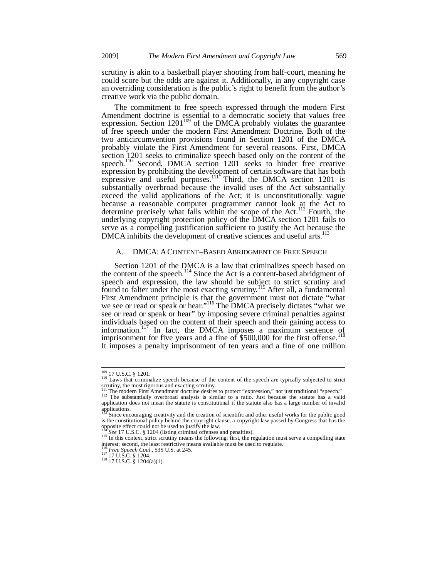scrutiny is akin to a basketball player shooting from half-court, meaning he could score but the odds are against it. Additionally, in any copyright case an overriding consideration is the public's right to benefit from the author's creative work via the public domain.

The commitment to free speech expressed through the modern First Amendment doctrine is essential to a democratic society that values free expression. Section  $1201^{109}$  of the DMCA probably violates the guarantee of free speech under the modern First Amendment Doctrine. Both of the two anticircumvention provisions found in Section 1201 of the DMCA probably violate the First Amendment for several reasons. First, DMCA section 1201 seeks to criminalize speech based only on the content of the speech.<sup>110</sup> Second, DMCA section 1201 seeks to hinder free creative expression by prohibiting the development of certain software that has both expressive and useful purposes. $111'$  Third, the DMCA section 1201 is substantially overbroad because the invalid uses of the Act substantially exceed the valid applications of the Act; it is unconstitutionally vague because a reasonable computer programmer cannot look at the Act to determine precisely what falls within the scope of the Act.<sup>112</sup> Fourth, the underlying copyright protection policy of the DMCA section 1201 fails to serve as a compelling justification sufficient to justify the Act because the DMCA inhibits the development of creative sciences and useful arts.<sup>1</sup>

#### A. DMCA: ACONTENT–BASED ABRIDGMENT OF FREE SPEECH

Section 1201 of the DMCA is a law that criminalizes speech based on the content of the speech.<sup>114</sup> Since the Act is a content-based abridgment of speech and expression, the law should be subject to strict scrutiny and found to falter under the most exacting scrutiny.<sup>115</sup> After all, a fundamental First Amendment principle is that the government must not dictate "what we see or read or speak or hear."<sup>116</sup> The DMCA precisely dictates "what we see or read or speak or hear" by imposing severe criminal penalties against individuals based on the content of their speech and their gaining access to information.<sup>117</sup> In fact, the DMCA imposes a maximum sentence of imprisonment for five years and a fine of  $$500,000$  for the first offense. It imposes a penalty imprisonment of ten years and a fine of one million

 $109$  17 U.S.C. § 1201.

<sup>&</sup>lt;sup>110</sup> Laws that criminalize speech because of the content of the speech are typically subjected to strict scrutiny, the most rigorous and exacting scrutiny.

<sup>111</sup> The modern First Amendment doctrine desires to protect "expression," not just traditional "speech."<br><sup>112</sup> The substantially overbroad analysis is similar to a ratio. Just because the statute has a valid

application does not mean the statute is constitutional if the statute also has a large number of invalid applications.

Since encouraging creativity and the creation of scientific and other useful works for the public good is the constitutional policy behind the copyright clause, a copyright law passed by Congress that has the opposite effect could not be used to justify the law.<br> $\frac{114}{114}$  See 17 U.S.C. § 1204 (listing criminal offenses and penalties).

<sup>&</sup>lt;sup>115</sup> In this context, strict scrutiny means the following: first, the regulation must serve a compelling state interest; second, the least restrictive means available must be used to regulate.

<sup>&</sup>lt;sup>116</sup> *Free Speech Coal.*, 535 U.S. at 245.<br><sup>117</sup> 17 U.S.C. § 1204.<br><sup>118</sup> 17 U.S.C. § 1204(a)(1).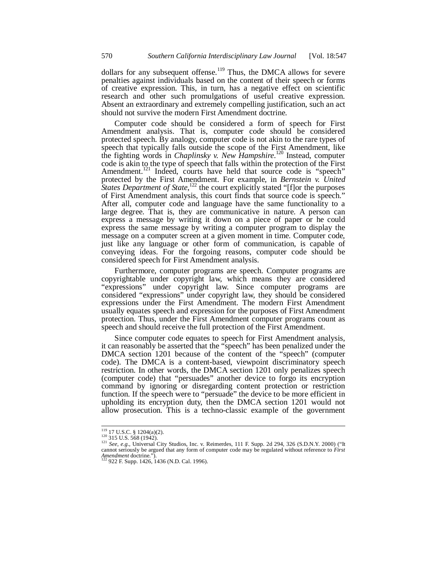dollars for any subsequent offense.<sup>119</sup> Thus, the DMCA allows for severe penalties against individuals based on the content of their speech or forms of creative expression. This, in turn, has a negative effect on scientific research and other such promulgations of useful creative expression. Absent an extraordinary and extremely compelling justification, such an act should not survive the modern First Amendment doctrine.

Computer code should be considered a form of speech for First Amendment analysis. That is, computer code should be considered protected speech. By analogy, computer code is not akin to the rare types of speech that typically falls outside the scope of the First Amendment, like the fighting words in *Chaplinsky v. New Hampshire*. 120 Instead, computer code is akin to the type of speech that falls within the protection of the First Amendment.<sup>121</sup> Indeed, courts have held that source code is "speech" protected by the First Amendment. For example, in *Bernstein v. United States Department of State*,<sup>122</sup> the court explicitly stated "[f]or the purposes of First Amendment analysis, this court finds that source code is speech." After all, computer code and language have the same functionality to a large degree. That is, they are communicative in nature. A person can express a message by writing it down on a piece of paper or he could express the same message by writing a computer program to display the message on a computer screen at a given moment in time. Computer code, just like any language or other form of communication, is capable of conveying ideas. For the forgoing reasons, computer code should be considered speech for First Amendment analysis.

Furthermore, computer programs are speech. Computer programs are copyrightable under copyright law, which means they are considered "expressions" under copyright law. Since computer programs are considered "expressions" under copyright law, they should be considered expressions under the First Amendment. The modern First Amendment usually equates speech and expression for the purposes of First Amendment protection. Thus, under the First Amendment computer programs count as speech and should receive the full protection of the First Amendment.

Since computer code equates to speech for First Amendment analysis, it can reasonably be asserted that the "speech" has been penalized under the DMCA section 1201 because of the content of the "speech" (computer code). The DMCA is a content-based, viewpoint discriminatory speech restriction. In other words, the DMCA section 1201 only penalizes speech (computer code) that "persuades" another device to forgo its encryption command by ignoring or disregarding content protection or restriction function. If the speech were to "persuade" the device to be more efficient in upholding its encryption duty, then the DMCA section 1201 would not allow prosecution. This is a techno-classic example of the government

 $119$  17 U.S.C. § 1204(a)(2).

<sup>&</sup>lt;sup>119</sup> 17 U.S.C. § 1204(a)(2).<br><sup>120</sup> 315 U.S. 568 (1942).<br><sup>121</sup> *See, e.g.*, Universal City Studios, Inc. v. Reimerdes, 111 F. Supp. 2d 294, 326 (S.D.N.Y. 2000) ("It cannot seriously be argued that any form of computer cod *Amendment* doctrine.").<br>
<sup>122</sup> 922 F. Supp. 1426, 1436 (N.D. Cal. 1996).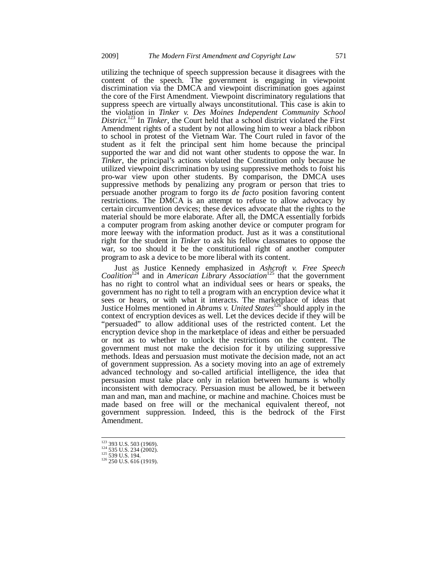utilizing the technique of speech suppression because it disagrees with the content of the speech. The government is engaging in viewpoint discrimination via the DMCA and viewpoint discrimination goes against the core of the First Amendment. Viewpoint discriminatory regulations that suppress speech are virtually always unconstitutional. This case is akin to the violation in *Tinker v. Des Moines Independent Community School District*. 123 In *Tinker*, the Court held that a school district violated the First Amendment rights of a student by not allowing him to wear a black ribbon to school in protest of the Vietnam War. The Court ruled in favor of the student as it felt the principal sent him home because the principal supported the war and did not want other students to oppose the war. In *Tinker*, the principal's actions violated the Constitution only because he utilized viewpoint discrimination by using suppressive methods to foist his pro-war view upon other students. By comparison, the DMCA uses suppressive methods by penalizing any program or person that tries to persuade another program to forgo its *de facto* position favoring content restrictions. The DMCA is an attempt to refuse to allow advocacy by certain circumvention devices; these devices advocate that the rights to the material should be more elaborate. After all, the DMCA essentially forbids a computer program from asking another device or computer program for more leeway with the information product. Just as it was a constitutional right for the student in *Tinker* to ask his fellow classmates to oppose the war, so too should it be the constitutional right of another computer program to ask a device to be more liberal with its content.

Just as Justice Kennedy emphasized in *Ashcroft v. Free Speech Coalition*124 and in *American Library Association*125 that the government has no right to control what an individual sees or hears or speaks, the government has no right to tell a program with an encryption device what it sees or hears, or with what it interacts. The marketplace of ideas that Justice Holmes mentioned in *Abrams v. United States*126 should apply in the context of encryption devices as well. Let the devices decide if they will be "persuaded" to allow additional uses of the restricted content. Let the encryption device shop in the marketplace of ideas and either be persuaded or not as to whether to unlock the restrictions on the content. The government must not make the decision for it by utilizing suppressive methods. Ideas and persuasion must motivate the decision made, not an act of government suppression. As a society moving into an age of extremely advanced technology and so-called artificial intelligence, the idea that persuasion must take place only in relation between humans is wholly inconsistent with democracy. Persuasion must be allowed, be it between man and man, man and machine, or machine and machine. Choices must be made based on free will or the mechanical equivalent thereof, not government suppression. Indeed, this is the bedrock of the First Amendment.

<sup>&</sup>lt;sup>123</sup> 393 U.S. 503 (1969).<br><sup>124</sup> 535 U.S. 234 (2002).<br><sup>125</sup> 539 U.S. 194.<br><sup>126</sup> 250 U.S. 616 (1919).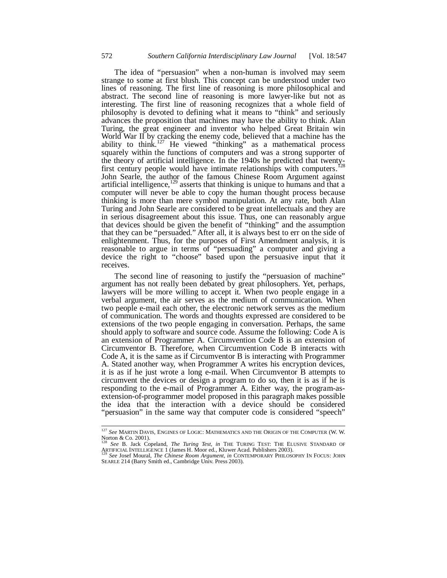The idea of "persuasion" when a non-human is involved may seem strange to some at first blush. This concept can be understood under two lines of reasoning. The first line of reasoning is more philosophical and abstract. The second line of reasoning is more lawyer-like but not as interesting. The first line of reasoning recognizes that a whole field of philosophy is devoted to defining what it means to "think" and seriously advances the proposition that machines may have the ability to think. Alan Turing, the great engineer and inventor who helped Great Britain win World War II by cracking the enemy code, believed that a machine has the ability to think.<sup>127</sup> He viewed "thinking" as a mathematical process squarely within the functions of computers and was a strong supporter of the theory of artificial intelligence. In the 1940s he predicted that twentyfirst century people would have intimate relationships with computers.<sup>128</sup> John Searle, the author of the famous Chinese Room Argument against artificial intelligence, $129$  asserts that thinking is unique to humans and that a computer will never be able to copy the human thought process because thinking is more than mere symbol manipulation. At any rate, both Alan Turing and John Searle are considered to be great intellectuals and they are in serious disagreement about this issue. Thus, one can reasonably argue that devices should be given the benefit of "thinking" and the assumption that they can be "persuaded." After all, it is always best to err on the side of enlightenment. Thus, for the purposes of First Amendment analysis, it is reasonable to argue in terms of "persuading" a computer and giving a device the right to "choose" based upon the persuasive input that it receives.

The second line of reasoning to justify the "persuasion of machine" argument has not really been debated by great philosophers. Yet, perhaps, lawyers will be more willing to accept it. When two people engage in a verbal argument, the air serves as the medium of communication. When two people e-mail each other, the electronic network serves as the medium of communication. The words and thoughts expressed are considered to be extensions of the two people engaging in conversation. Perhaps, the same should apply to software and source code. Assume the following: Code A is an extension of Programmer A. Circumvention Code B is an extension of Circumventor B. Therefore, when Circumvention Code B interacts with Code A, it is the same as if Circumventor B is interacting with Programmer A. Stated another way, when Programmer A writes his encryption devices, it is as if he just wrote a long e-mail. When Circumventor B attempts to circumvent the devices or design a program to do so, then it is as if he is responding to the e-mail of Programmer A. Either way, the program-asextension-of-programmer model proposed in this paragraph makes possible the idea that the interaction with a device should be considered "persuasion" in the same way that computer code is considered "speech"

j <sup>127</sup> *See* MARTIN DAVIS, ENGINES OF LOGIC: MATHEMATICS AND THE ORIGIN OF THE COMPUTER (W. W. Norton & Co. 2001).

<sup>128</sup> *See* B. Jack Copeland, *The Turing Test*, *in* THE TURING TEST: THE ELUSIVE STANDARD OF ARTIFICIAL INTELLIGENCE 1 (James H. Moor ed., Kluwer Acad. Publishers 2003). 129 *See* Josef Moural, *The Chinese Room Argument*, *in* CONTEMPORARY PHILOSOPHY IN FOCUS: JOHN

SEARLE 214 (Barry Smith ed., Cambridge Univ. Press 2003).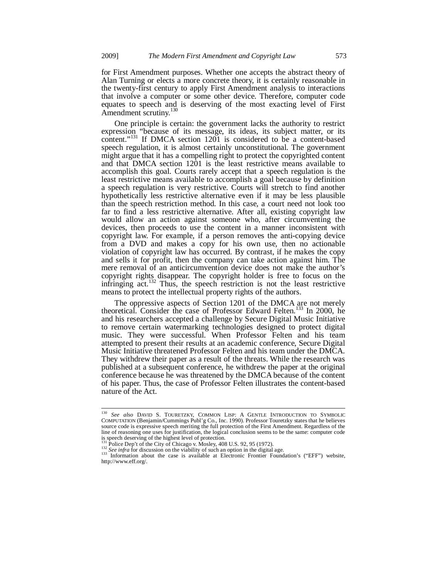for First Amendment purposes. Whether one accepts the abstract theory of Alan Turning or elects a more concrete theory, it is certainly reasonable in the twenty-first century to apply First Amendment analysis to interactions that involve a computer or some other device. Therefore, computer code equates to speech and is deserving of the most exacting level of First Amendment scrutiny.<sup>13</sup>

One principle is certain: the government lacks the authority to restrict expression "because of its message, its ideas, its subject matter, or its content."<sup>131</sup> If DMCA section 1201 is considered to be a content-based speech regulation, it is almost certainly unconstitutional. The government might argue that it has a compelling right to protect the copyrighted content and that DMCA section 1201 is the least restrictive means available to accomplish this goal. Courts rarely accept that a speech regulation is the least restrictive means available to accomplish a goal because by definition a speech regulation is very restrictive. Courts will stretch to find another hypothetically less restrictive alternative even if it may be less plausible than the speech restriction method. In this case, a court need not look too far to find a less restrictive alternative. After all, existing copyright law would allow an action against someone who, after circumventing the devices, then proceeds to use the content in a manner inconsistent with copyright law. For example, if a person removes the anti-copying device from a DVD and makes a copy for his own use, then no actionable violation of copyright law has occurred. By contrast, if he makes the copy and sells it for profit, then the company can take action against him. The mere removal of an anticircumvention device does not make the author's copyright rights disappear. The copyright holder is free to focus on the infringing act.<sup>132</sup> Thus, the speech restriction is not the least restrictive means to protect the intellectual property rights of the authors.

The oppressive aspects of Section 1201 of the DMCA are not merely theoretical. Consider the case of Professor Edward Felten.<sup>133</sup> In 2000, he and his researchers accepted a challenge by Secure Digital Music Initiative to remove certain watermarking technologies designed to protect digital music. They were successful. When Professor Felten and his team attempted to present their results at an academic conference, Secure Digital Music Initiative threatened Professor Felten and his team under the DMCA. They withdrew their paper as a result of the threats. While the research was published at a subsequent conference, he withdrew the paper at the original conference because he was threatened by the DMCA because of the content of his paper. Thus, the case of Professor Felten illustrates the content-based nature of the Act.

<sup>&</sup>lt;sup>130</sup> See also DAVID S. TOURETZKY, COMMON LISP: A GENTLE INTRODUCTION TO SYMBOLIC COMPUTATION (Benjamin/Cummings Publ'g Co., Inc. 1990). Professor Touretzky states that he believes source code is expressive speech meriting the full protection of the First Amendment. Regardless of the line of reasoning one uses for justification, the logical conclusion seems to be the same: computer code is speech deserving of the highest level of protection.<br> $131$  Police Dep't of the City of Chicago v. Mosley, 408 U.S. 92, 95 (1972).

<sup>&</sup>lt;sup>132</sup> See infra for discussion on the viability of such an option in the digital age.<br><sup>132</sup> See infra for discussion on the viability of such an option in the digital age.<br><sup>133</sup> Information about the case is available at

http://www.eff.org/.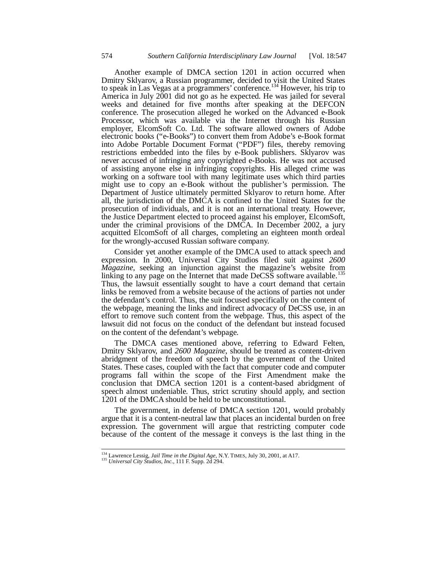Another example of DMCA section 1201 in action occurred when Dmitry Sklyarov, a Russian programmer, decided to visit the United States to speak in Las Vegas at a programmers' conference.134 However, his trip to America in July 2001 did not go as he expected. He was jailed for several weeks and detained for five months after speaking at the DEFCON conference. The prosecution alleged he worked on the Advanced e-Book Processor, which was available via the Internet through his Russian employer, ElcomSoft Co. Ltd. The software allowed owners of Adobe electronic books ("e-Books") to convert them from Adobe's e-Book format into Adobe Portable Document Format ("PDF") files, thereby removing restrictions embedded into the files by e-Book publishers. Sklyarov was never accused of infringing any copyrighted e-Books. He was not accused of assisting anyone else in infringing copyrights. His alleged crime was working on a software tool with many legitimate uses which third parties might use to copy an e-Book without the publisher's permission. The Department of Justice ultimately permitted Sklyarov to return home. After all, the jurisdiction of the  $DM\tilde{C}\tilde{A}$  is confined to the United States for the prosecution of individuals, and it is not an international treaty. However, the Justice Department elected to proceed against his employer, ElcomSoft, under the criminal provisions of the DMCA. In December 2002, a jury acquitted ElcomSoft of all charges, completing an eighteen month ordeal for the wrongly-accused Russian software company.

Consider yet another example of the DMCA used to attack speech and expression. In 2000, Universal City Studios filed suit against *2600 Magazine,* seeking an injunction against the magazine's website from linking to any page on the Internet that made DeCSS software available.<sup>135</sup> Thus, the lawsuit essentially sought to have a court demand that certain links be removed from a website because of the actions of parties not under the defendant's control. Thus, the suit focused specifically on the content of the webpage, meaning the links and indirect advocacy of DeCSS use, in an effort to remove such content from the webpage. Thus, this aspect of the lawsuit did not focus on the conduct of the defendant but instead focused on the content of the defendant's webpage.

The DMCA cases mentioned above, referring to Edward Felten, Dmitry Sklyarov, and *2600 Magazine*, should be treated as content-driven abridgment of the freedom of speech by the government of the United States. These cases, coupled with the fact that computer code and computer programs fall within the scope of the First Amendment make the conclusion that DMCA section 1201 is a content-based abridgment of speech almost undeniable. Thus, strict scrutiny should apply, and section 1201 of the DMCA should be held to be unconstitutional.

The government, in defense of DMCA section 1201, would probably argue that it is a content-neutral law that places an incidental burden on free expression. The government will argue that restricting computer code because of the content of the message it conveys is the last thing in the

<sup>134</sup> Lawrence Lessig, *Jail Time in the Digital Age*, N.Y. TIMES, July 30, 2001, at A17. 135 *Universal City Studios, Inc.*, 111 F. Supp. 2d 294.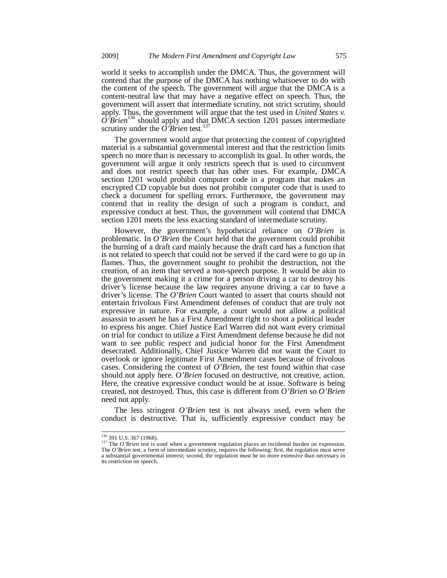world it seeks to accomplish under the DMCA. Thus, the government will contend that the purpose of the DMCA has nothing whatsoever to do with the content of the speech. The government will argue that the DMCA is a content-neutral law that may have a negative effect on speech. Thus, the government will assert that intermediate scrutiny, not strict scrutiny, should apply. Thus, the government will argue that the test used in *United States v.*   $\hat{O}$ <sup> $\hat{B}$ </sup>rien<sup>136</sup> should apply and that DMCA section 1201 passes intermediate scrutiny under the  $\hat{O}$ 'Brien test.<sup>13</sup>

The government would argue that protecting the content of copyrighted material is a substantial governmental interest and that the restriction limits speech no more than is necessary to accomplish its goal. In other words, the government will argue it only restricts speech that is used to circumvent and does not restrict speech that has other uses. For example, DMCA section 1201 would prohibit computer code in a program that makes an encrypted CD copyable but does not prohibit computer code that is used to check a document for spelling errors. Furthermore, the government may contend that in reality the design of such a program is conduct, and expressive conduct at best. Thus, the government will contend that DMCA section 1201 meets the less exacting standard of intermediate scrutiny.

However, the government's hypothetical reliance on *O'Brien* is problematic. In *O'Brien* the Court held that the government could prohibit the burning of a draft card mainly because the draft card has a function that is not related to speech that could not be served if the card were to go up in flames. Thus, the government sought to prohibit the destruction, not the creation, of an item that served a non-speech purpose. It would be akin to the government making it a crime for a person driving a car to destroy his driver's license because the law requires anyone driving a car to have a driver's license. The *O'Brien* Court wanted to assert that courts should not entertain frivolous First Amendment defenses of conduct that are truly not expressive in nature. For example, a court would not allow a political assassin to assert he has a First Amendment right to shoot a political leader to express his anger. Chief Justice Earl Warren did not want every criminal on trial for conduct to utilize a First Amendment defense because he did not want to see public respect and judicial honor for the First Amendment desecrated. Additionally, Chief Justice Warren did not want the Court to overlook or ignore legitimate First Amendment cases because of frivolous cases. Considering the context of *O'Brien*, the test found within that case should not apply here. *O'Brien* focused on destructive, not creative, action. Here, the creative expressive conduct would be at issue. Software is being created, not destroyed. Thus, this case is different from *O'Brien* so *O'Brien* need not apply.

The less stringent *O'Brien* test is not always used, even when the conduct is destructive. That is, sufficiently expressive conduct may be

<sup>&</sup>lt;sup>136</sup> 391 U.S. 367 (1968).<br><sup>137</sup> The *O'Brien* test is used when a government regulation places an incidental burden on expression.<br>The *O'Brien* test, a form of intermediate scrutiny, requires the following: first, the r a substantial governmental interest; second, the regulation must be no more extensive than necessary in its restriction on speech.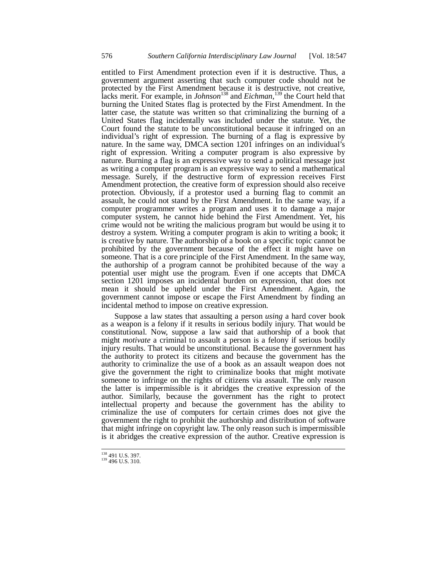entitled to First Amendment protection even if it is destructive. Thus, a government argument asserting that such computer code should not be protected by the First Amendment because it is destructive, not creative, lacks merit. For example, in *Johnson*138 and *Eichman*, 139 the Court held that burning the United States flag is protected by the First Amendment. In the latter case, the statute was written so that criminalizing the burning of a United States flag incidentally was included under the statute. Yet, the Court found the statute to be unconstitutional because it infringed on an individual's right of expression. The burning of a flag is expressive by nature. In the same way, DMCA section 1201 infringes on an individual's right of expression. Writing a computer program is also expressive by nature. Burning a flag is an expressive way to send a political message just as writing a computer program is an expressive way to send a mathematical message. Surely, if the destructive form of expression receives First Amendment protection, the creative form of expression should also receive protection. Obviously, if a protestor used a burning flag to commit an assault, he could not stand by the First Amendment. In the same way, if a computer programmer writes a program and uses it to damage a major computer system, he cannot hide behind the First Amendment. Yet, his crime would not be writing the malicious program but would be using it to destroy a system. Writing a computer program is akin to writing a book; it is creative by nature. The authorship of a book on a specific topic cannot be prohibited by the government because of the effect it might have on someone. That is a core principle of the First Amendment. In the same way, the authorship of a program cannot be prohibited because of the way a potential user might use the program. Even if one accepts that DMCA section 1201 imposes an incidental burden on expression, that does not mean it should be upheld under the First Amendment. Again, the government cannot impose or escape the First Amendment by finding an incidental method to impose on creative expression.

Suppose a law states that assaulting a person *using* a hard cover book as a weapon is a felony if it results in serious bodily injury. That would be constitutional. Now, suppose a law said that authorship of a book that might *motivate* a criminal to assault a person is a felony if serious bodily injury results. That would be unconstitutional. Because the government has the authority to protect its citizens and because the government has the authority to criminalize the use of a book as an assault weapon does not give the government the right to criminalize books that might motivate someone to infringe on the rights of citizens via assault. The only reason the latter is impermissible is it abridges the creative expression of the author. Similarly, because the government has the right to protect intellectual property and because the government has the ability to criminalize the use of computers for certain crimes does not give the government the right to prohibit the authorship and distribution of software that might infringe on copyright law. The only reason such is impermissible is it abridges the creative expression of the author. Creative expression is

<sup>&</sup>lt;sup>138</sup> 491 U.S. 397.

 $139\overline{496}$  U.S. 310.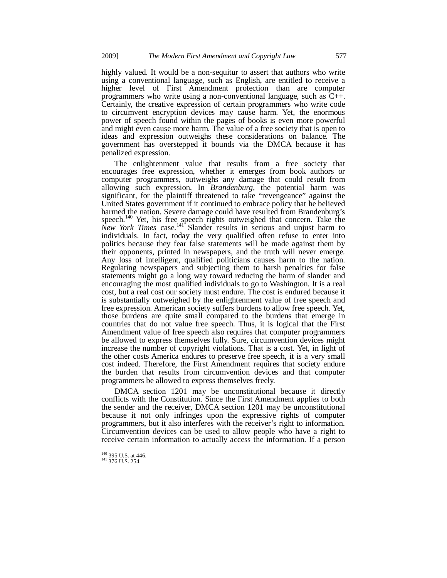highly valued. It would be a non-sequitur to assert that authors who write using a conventional language, such as English, are entitled to receive a higher level of First Amendment protection than are computer programmers who write using a non-conventional language, such as C++. Certainly, the creative expression of certain programmers who write code to circumvent encryption devices may cause harm. Yet, the enormous power of speech found within the pages of books is even more powerful and might even cause more harm. The value of a free society that is open to ideas and expression outweighs these considerations on balance. The government has overstepped it bounds via the DMCA because it has penalized expression.

The enlightenment value that results from a free society that encourages free expression, whether it emerges from book authors or computer programmers, outweighs any damage that could result from allowing such expression. In *Brandenburg*, the potential harm was significant, for the plaintiff threatened to take "revengeance" against the United States government if it continued to embrace policy that he believed harmed the nation. Severe damage could have resulted from Brandenburg's speech.<sup>140</sup> Yet, his free speech rights outweighed that concern. Take the New York Times case.<sup>141</sup> Slander results in serious and unjust harm to individuals. In fact, today the very qualified often refuse to enter into politics because they fear false statements will be made against them by their opponents, printed in newspapers, and the truth will never emerge. Any loss of intelligent, qualified politicians causes harm to the nation. Regulating newspapers and subjecting them to harsh penalties for false statements might go a long way toward reducing the harm of slander and encouraging the most qualified individuals to go to Washington. It is a real cost, but a real cost our society must endure. The cost is endured because it is substantially outweighed by the enlightenment value of free speech and free expression. American society suffers burdens to allow free speech. Yet, those burdens are quite small compared to the burdens that emerge in countries that do not value free speech. Thus, it is logical that the First Amendment value of free speech also requires that computer programmers be allowed to express themselves fully. Sure, circumvention devices might increase the number of copyright violations. That is a cost. Yet, in light of the other costs America endures to preserve free speech, it is a very small cost indeed. Therefore, the First Amendment requires that society endure the burden that results from circumvention devices and that computer programmers be allowed to express themselves freely.

DMCA section 1201 may be unconstitutional because it directly conflicts with the Constitution. Since the First Amendment applies to both the sender and the receiver, DMCA section 1201 may be unconstitutional because it not only infringes upon the expressive rights of computer programmers, but it also interferes with the receiver's right to information. Circumvention devices can be used to allow people who have a right to receive certain information to actually access the information. If a person

 $^{140}$  395 U.S. at 446.<br> $^{141}$  376 U.S. 254.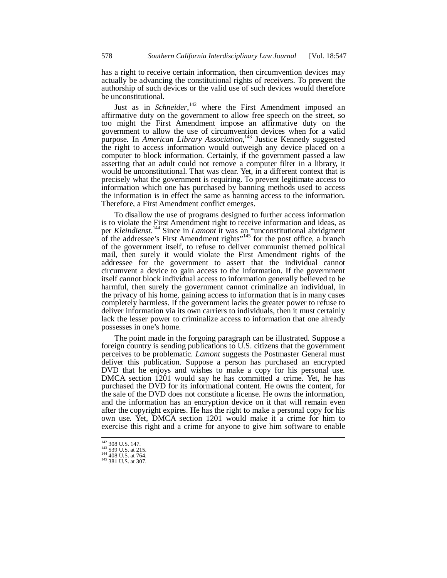has a right to receive certain information, then circumvention devices may actually be advancing the constitutional rights of receivers. To prevent the authorship of such devices or the valid use of such devices would therefore be unconstitutional.

Just as in *Schneider*,<sup>142</sup> where the First Amendment imposed an affirmative duty on the government to allow free speech on the street, so too might the First Amendment impose an affirmative duty on the government to allow the use of circumvention devices when for a valid purpose. In *American Library Association*, 143 Justice Kennedy suggested the right to access information would outweigh any device placed on a computer to block information. Certainly, if the government passed a law asserting that an adult could not remove a computer filter in a library, it would be unconstitutional. That was clear. Yet, in a different context that is precisely what the government is requiring. To prevent legitimate access to information which one has purchased by banning methods used to access the information is in effect the same as banning access to the information. Therefore, a First Amendment conflict emerges.

To disallow the use of programs designed to further access information is to violate the First Amendment right to receive information and ideas, as per *Kleindienst*. 144 Since in *Lamont* it was an "unconstitutional abridgment of the addressee's First Amendment rights"<sup>145</sup> for the post office, a branch of the government itself, to refuse to deliver communist themed political mail, then surely it would violate the First Amendment rights of the addressee for the government to assert that the individual cannot circumvent a device to gain access to the information. If the government itself cannot block individual access to information generally believed to be harmful, then surely the government cannot criminalize an individual, in the privacy of his home, gaining access to information that is in many cases completely harmless. If the government lacks the greater power to refuse to deliver information via its own carriers to individuals, then it must certainly lack the lesser power to criminalize access to information that one already possesses in one's home.

The point made in the forgoing paragraph can be illustrated. Suppose a foreign country is sending publications to U.S. citizens that the government perceives to be problematic. *Lamont* suggests the Postmaster General must deliver this publication. Suppose a person has purchased an encrypted DVD that he enjoys and wishes to make a copy for his personal use. DMCA section 1201 would say he has committed a crime. Yet, he has purchased the DVD for its informational content. He owns the content, for the sale of the DVD does not constitute a license. He owns the information, and the information has an encryption device on it that will remain even after the copyright expires. He has the right to make a personal copy for his own use. Yet, DMCA section 1201 would make it a crime for him to exercise this right and a crime for anyone to give him software to enable

<sup>&</sup>lt;sup>142</sup> 308 U.S. 147.<br>
<sup>143</sup> 539 U.S. at 215.<br>
<sup>144</sup> 408 U.S. at 764.<br>
<sup>145</sup> 381 U.S. at 307.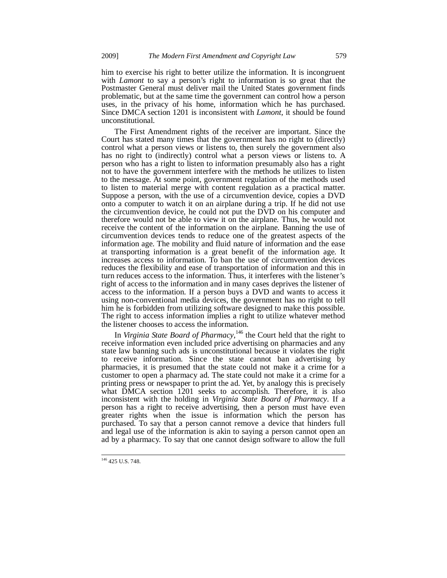him to exercise his right to better utilize the information. It is incongruent with *Lamont* to say a person's right to information is so great that the Postmaster General must deliver mail the United States government finds problematic, but at the same time the government can control how a person uses, in the privacy of his home, information which he has purchased. Since DMCA section 1201 is inconsistent with *Lamont*, it should be found unconstitutional.

The First Amendment rights of the receiver are important. Since the Court has stated many times that the government has no right to (directly) control what a person views or listens to, then surely the government also has no right to (indirectly) control what a person views or listens to. A person who has a right to listen to information presumably also has a right not to have the government interfere with the methods he utilizes to listen to the message. At some point, government regulation of the methods used to listen to material merge with content regulation as a practical matter. Suppose a person, with the use of a circumvention device, copies a DVD onto a computer to watch it on an airplane during a trip. If he did not use the circumvention device, he could not put the DVD on his computer and therefore would not be able to view it on the airplane. Thus, he would not receive the content of the information on the airplane. Banning the use of circumvention devices tends to reduce one of the greatest aspects of the information age. The mobility and fluid nature of information and the ease at transporting information is a great benefit of the information age. It increases access to information. To ban the use of circumvention devices reduces the flexibility and ease of transportation of information and this in turn reduces access to the information. Thus, it interferes with the listener's right of access to the information and in many cases deprives the listener of access to the information. If a person buys a DVD and wants to access it using non-conventional media devices, the government has no right to tell him he is forbidden from utilizing software designed to make this possible. The right to access information implies a right to utilize whatever method the listener chooses to access the information.

In *Virginia State Board of Pharmacy*, 146 the Court held that the right to receive information even included price advertising on pharmacies and any state law banning such ads is unconstitutional because it violates the right to receive information. Since the state cannot ban advertising by pharmacies, it is presumed that the state could not make it a crime for a customer to open a pharmacy ad. The state could not make it a crime for a printing press or newspaper to print the ad. Yet, by analogy this is precisely what DMCA section 1201 seeks to accomplish. Therefore, it is also inconsistent with the holding in *Virginia State Board of Pharmacy*. If a person has a right to receive advertising, then a person must have even greater rights when the issue is information which the person has purchased. To say that a person cannot remove a device that hinders full and legal use of the information is akin to saying a person cannot open an ad by a pharmacy. To say that one cannot design software to allow the full

<sup>&</sup>lt;sup>146</sup> 425 U.S. 748.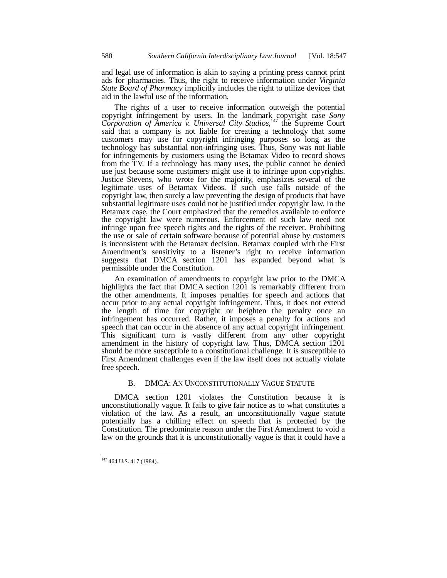and legal use of information is akin to saying a printing press cannot print ads for pharmacies. Thus, the right to receive information under *Virginia State Board of Pharmacy* implicitly includes the right to utilize devices that aid in the lawful use of the information.

The rights of a user to receive information outweigh the potential copyright infringement by users. In the landmark copyright case *Sony Corporation of America v. Universal City Studios*, 147 the Supreme Court said that a company is not liable for creating a technology that some customers may use for copyright infringing purposes so long as the technology has substantial non-infringing uses. Thus, Sony was not liable for infringements by customers using the Betamax Video to record shows from the TV. If a technology has many uses, the public cannot be denied use just because some customers might use it to infringe upon copyrights. Justice Stevens, who wrote for the majority, emphasizes several of the legitimate uses of Betamax Videos. If such use falls outside of the copyright law, then surely a law preventing the design of products that have substantial legitimate uses could not be justified under copyright law. In the Betamax case, the Court emphasized that the remedies available to enforce the copyright law were numerous. Enforcement of such law need not infringe upon free speech rights and the rights of the receiver. Prohibiting the use or sale of certain software because of potential abuse by customers is inconsistent with the Betamax decision. Betamax coupled with the First Amendment's sensitivity to a listener's right to receive information suggests that DMCA section 1201 has expanded beyond what is permissible under the Constitution.

An examination of amendments to copyright law prior to the DMCA highlights the fact that DMCA section 1201 is remarkably different from the other amendments. It imposes penalties for speech and actions that occur prior to any actual copyright infringement. Thus, it does not extend the length of time for copyright or heighten the penalty once an infringement has occurred. Rather, it imposes a penalty for actions and speech that can occur in the absence of any actual copyright infringement. This significant turn is vastly different from any other copyright amendment in the history of copyright law. Thus, DMCA section 1201 should be more susceptible to a constitutional challenge. It is susceptible to First Amendment challenges even if the law itself does not actually violate free speech.

### B. DMCA: AN UNCONSTITUTIONALLY VAGUE STATUTE

DMCA section 1201 violates the Constitution because it is unconstitutionally vague. It fails to give fair notice as to what constitutes a violation of the law. As a result, an unconstitutionally vague statute potentially has a chilling effect on speech that is protected by the Constitution. The predominate reason under the First Amendment to void a law on the grounds that it is unconstitutionally vague is that it could have a

j <sup>147</sup> 464 U.S. 417 (1984).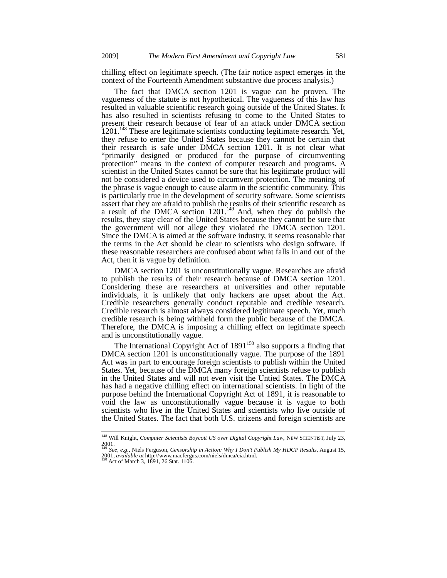chilling effect on legitimate speech. (The fair notice aspect emerges in the context of the Fourteenth Amendment substantive due process analysis.)

The fact that DMCA section 1201 is vague can be proven. The vagueness of the statute is not hypothetical. The vagueness of this law has resulted in valuable scientific research going outside of the United States. It has also resulted in scientists refusing to come to the United States to present their research because of fear of an attack under DMCA section 1201.<sup>148</sup> These are legitimate scientists conducting legitimate research. Yet, they refuse to enter the United States because they cannot be certain that their research is safe under DMCA section 1201. It is not clear what "primarily designed or produced for the purpose of circumventing protection" means in the context of computer research and programs. A scientist in the United States cannot be sure that his legitimate product will not be considered a device used to circumvent protection. The meaning of the phrase is vague enough to cause alarm in the scientific community. This is particularly true in the development of security software. Some scientists assert that they are afraid to publish the results of their scientific research as a result of the DMCA section 1201.<sup>149</sup> And, when they do publish the results, they stay clear of the United States because they cannot be sure that the government will not allege they violated the DMCA section 1201. Since the DMCA is aimed at the software industry, it seems reasonable that the terms in the Act should be clear to scientists who design software. If these reasonable researchers are confused about what falls in and out of the Act, then it is vague by definition.

DMCA section 1201 is unconstitutionally vague. Researches are afraid to publish the results of their research because of DMCA section 1201. Considering these are researchers at universities and other reputable individuals, it is unlikely that only hackers are upset about the Act. Credible researchers generally conduct reputable and credible research. Credible research is almost always considered legitimate speech. Yet, much credible research is being withheld form the public because of the DMCA. Therefore, the DMCA is imposing a chilling effect on legitimate speech and is unconstitutionally vague.

The International Copyright Act of  $1891^{150}$  also supports a finding that DMCA section 1201 is unconstitutionally vague. The purpose of the 1891 Act was in part to encourage foreign scientists to publish within the United States. Yet, because of the DMCA many foreign scientists refuse to publish in the United States and will not even visit the Untied States. The DMCA has had a negative chilling effect on international scientists. In light of the purpose behind the International Copyright Act of 1891, it is reasonable to void the law as unconstitutionally vague because it is vague to both scientists who live in the United States and scientists who live outside of the United States. The fact that both U.S. citizens and foreign scientists are

<sup>148</sup> Will Knight, *Computer Scientists Boycott US over Digital Copyright Law*, NEW SCIENTIST, July 23, 2001. <sup>149</sup> *See, e.g.*, Niels Ferguson, *Censorship in Action: Why I Don't Publish My HDCP Results*, August 15,

<sup>2001,</sup> *available at* http://www.macfergus.com/niels/dmca/cia.html. 150 Act of March 3, 1891, 26 Stat. 1106.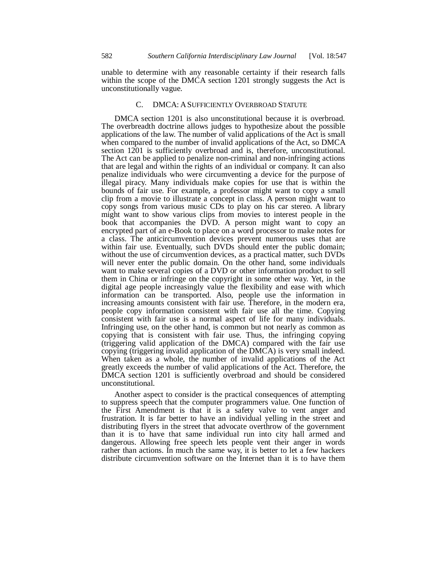unable to determine with any reasonable certainty if their research falls within the scope of the DMCA section 1201 strongly suggests the Act is unconstitutionally vague.

#### C. DMCA: ASUFFICIENTLY OVERBROAD STATUTE

DMCA section 1201 is also unconstitutional because it is overbroad. The overbreadth doctrine allows judges to hypothesize about the possible applications of the law. The number of valid applications of the Act is small when compared to the number of invalid applications of the Act, so DMCA section 1201 is sufficiently overbroad and is, therefore, unconstitutional. The Act can be applied to penalize non-criminal and non-infringing actions that are legal and within the rights of an individual or company. It can also penalize individuals who were circumventing a device for the purpose of illegal piracy. Many individuals make copies for use that is within the bounds of fair use. For example, a professor might want to copy a small clip from a movie to illustrate a concept in class. A person might want to copy songs from various music CDs to play on his car stereo. A library might want to show various clips from movies to interest people in the book that accompanies the DVD. A person might want to copy an encrypted part of an e-Book to place on a word processor to make notes for a class. The anticircumvention devices prevent numerous uses that are within fair use. Eventually, such DVDs should enter the public domain; without the use of circumvention devices, as a practical matter, such DVDs will never enter the public domain. On the other hand, some individuals want to make several copies of a DVD or other information product to sell them in China or infringe on the copyright in some other way. Yet, in the digital age people increasingly value the flexibility and ease with which information can be transported. Also, people use the information in increasing amounts consistent with fair use. Therefore, in the modern era, people copy information consistent with fair use all the time. Copying consistent with fair use is a normal aspect of life for many individuals. Infringing use, on the other hand, is common but not nearly as common as copying that is consistent with fair use. Thus, the infringing copying (triggering valid application of the DMCA) compared with the fair use copying (triggering invalid application of the DMCA) is very small indeed. When taken as a whole, the number of invalid applications of the Act greatly exceeds the number of valid applications of the Act. Therefore, the DMCA section 1201 is sufficiently overbroad and should be considered unconstitutional.

Another aspect to consider is the practical consequences of attempting to suppress speech that the computer programmers value. One function of the First Amendment is that it is a safety valve to vent anger and frustration. It is far better to have an individual yelling in the street and distributing flyers in the street that advocate overthrow of the government than it is to have that same individual run into city hall armed and dangerous. Allowing free speech lets people vent their anger in words rather than actions. In much the same way, it is better to let a few hackers distribute circumvention software on the Internet than it is to have them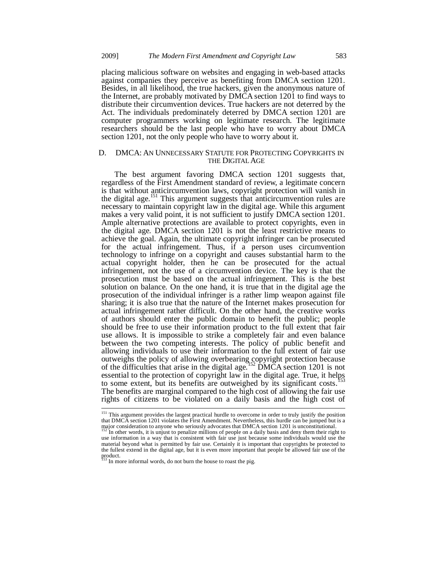placing malicious software on websites and engaging in web-based attacks against companies they perceive as benefiting from DMCA section 1201. Besides, in all likelihood, the true hackers, given the anonymous nature of the Internet, are probably motivated by DMCA section 1201 to find ways to distribute their circumvention devices. True hackers are not deterred by the Act. The individuals predominately deterred by DMCA section 1201 are computer programmers working on legitimate research. The legitimate researchers should be the last people who have to worry about DMCA section 1201, not the only people who have to worry about it.

#### D. DMCA: AN UNNECESSARY STATUTE FOR PROTECTING COPYRIGHTS IN THE DIGITAL AGE

The best argument favoring DMCA section 1201 suggests that, regardless of the First Amendment standard of review, a legitimate concern is that without anticircumvention laws, copyright protection will vanish in the digital age.<sup>151</sup> This argument suggests that anticircumvention rules are necessary to maintain copyright law in the digital age. While this argument makes a very valid point, it is not sufficient to justify DMCA section 1201. Ample alternative protections are available to protect copyrights, even in the digital age. DMCA section 1201 is not the least restrictive means to achieve the goal. Again, the ultimate copyright infringer can be prosecuted for the actual infringement. Thus, if a person uses circumvention technology to infringe on a copyright and causes substantial harm to the actual copyright holder, then he can be prosecuted for the actual infringement, not the use of a circumvention device. The key is that the prosecution must be based on the actual infringement. This is the best solution on balance. On the one hand, it is true that in the digital age the prosecution of the individual infringer is a rather limp weapon against file sharing; it is also true that the nature of the Internet makes prosecution for actual infringement rather difficult. On the other hand, the creative works of authors should enter the public domain to benefit the public; people should be free to use their information product to the full extent that fair use allows. It is impossible to strike a completely fair and even balance between the two competing interests. The policy of public benefit and allowing individuals to use their information to the full extent of fair use outweighs the policy of allowing overbearing copyright protection because of the difficulties that arise in the digital age.<sup>152</sup> DMCA section 1201 is not essential to the protection of copyright law in the digital age. True, it helps to some extent, but its benefits are outweighed by its significant costs.<sup>1</sup> The benefits are marginal compared to the high cost of allowing the fair use rights of citizens to be violated on a daily basis and the high cost of

<sup>&</sup>lt;sup>151</sup> This argument provides the largest practical hurdle to overcome in order to truly justify the position that DMCA section 1201 violates the First Amendment. Nevertheless, this hurdle can be jumped but is a major consideration to anyone who seriously advocates that DMCA section 1201 is unconstitutional.

In other words, it is unjust to penalize millions of people on a daily basis and deny them their right to use information in a way that is consistent with fair use just because some individuals would use the material beyond what is permitted by fair use. Certainly it is important that copyrights be protected to the fullest extend in the digital age, but it is even more important that people be allowed fair use of the product.<br><sup>153</sup> In more informal words, do not burn the house to roast the pig.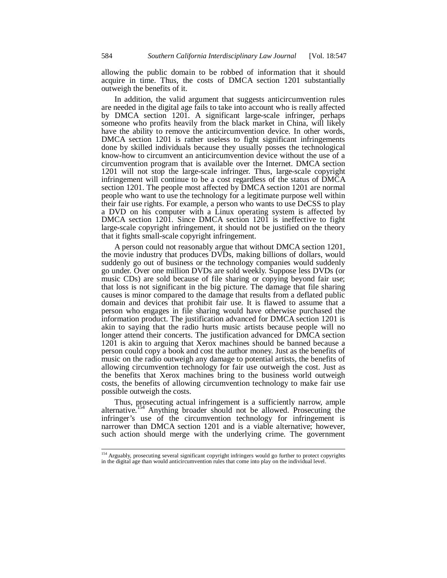allowing the public domain to be robbed of information that it should acquire in time. Thus, the costs of DMCA section 1201 substantially outweigh the benefits of it.

In addition, the valid argument that suggests anticircumvention rules are needed in the digital age fails to take into account who is really affected by DMCA section 1201. A significant large-scale infringer, perhaps someone who profits heavily from the black market in China, will likely have the ability to remove the anticircumvention device. In other words, DMCA section 1201 is rather useless to fight significant infringements done by skilled individuals because they usually posses the technological know-how to circumvent an anticircumvention device without the use of a circumvention program that is available over the Internet. DMCA section 1201 will not stop the large-scale infringer. Thus, large-scale copyright infringement will continue to be a cost regardless of the status of DMCA section 1201. The people most affected by DMCA section 1201 are normal people who want to use the technology for a legitimate purpose well within their fair use rights. For example, a person who wants to use DeCSS to play a DVD on his computer with a Linux operating system is affected by DMCA section 1201. Since DMCA section 1201 is ineffective to fight large-scale copyright infringement, it should not be justified on the theory that it fights small-scale copyright infringement.

A person could not reasonably argue that without DMCA section 1201, the movie industry that produces DVDs, making billions of dollars, would suddenly go out of business or the technology companies would suddenly go under. Over one million DVDs are sold weekly. Suppose less DVDs (or music CDs) are sold because of file sharing or copying beyond fair use; that loss is not significant in the big picture. The damage that file sharing causes is minor compared to the damage that results from a deflated public domain and devices that prohibit fair use. It is flawed to assume that a person who engages in file sharing would have otherwise purchased the information product. The justification advanced for DMCA section 1201 is akin to saying that the radio hurts music artists because people will no longer attend their concerts. The justification advanced for DMCA section 1201 is akin to arguing that Xerox machines should be banned because a person could copy a book and cost the author money. Just as the benefits of music on the radio outweigh any damage to potential artists, the benefits of allowing circumvention technology for fair use outweigh the cost. Just as the benefits that Xerox machines bring to the business world outweigh costs, the benefits of allowing circumvention technology to make fair use possible outweigh the costs.

Thus, prosecuting actual infringement is a sufficiently narrow, ample alternative.<sup>154</sup> Anything broader should not be allowed. Prosecuting the infringer's use of the circumvention technology for infringement is narrower than DMCA section 1201 and is a viable alternative; however, such action should merge with the underlying crime. The government

<sup>&</sup>lt;sup>154</sup> Arguably, prosecuting several significant copyright infringers would go further to protect copyrights in the digital age than would anticircumvention rules that come into play on the individual level.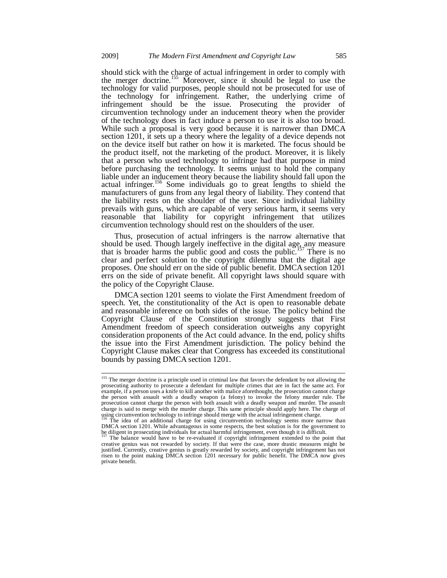should stick with the charge of actual infringement in order to comply with the merger doctrine.<sup>155</sup> Moreover, since it should be legal to use the technology for valid purposes, people should not be prosecuted for use of the technology for infringement. Rather, the underlying crime of infringement should be the issue. Prosecuting the provider of circumvention technology under an inducement theory when the provider of the technology does in fact induce a person to use it is also too broad. While such a proposal is very good because it is narrower than DMCA section 1201, it sets up a theory where the legality of a device depends not on the device itself but rather on how it is marketed. The focus should be the product itself, not the marketing of the product. Moreover, it is likely that a person who used technology to infringe had that purpose in mind before purchasing the technology. It seems unjust to hold the company liable under an inducement theory because the liability should fall upon the actual infringer.<sup>156</sup> Some individuals go to great lengths to shield the manufacturers of guns from any legal theory of liability. They contend that the liability rests on the shoulder of the user. Since individual liability prevails with guns, which are capable of very serious harm, it seems very reasonable that liability for copyright infringement that utilizes circumvention technology should rest on the shoulders of the user.

Thus, prosecution of actual infringers is the narrow alternative that should be used. Though largely ineffective in the digital age, any measure that is broader harms the public good and costs the public.<sup>157</sup> There is no clear and perfect solution to the copyright dilemma that the digital age proposes. One should err on the side of public benefit. DMCA section 1201 errs on the side of private benefit. All copyright laws should square with the policy of the Copyright Clause.

DMCA section 1201 seems to violate the First Amendment freedom of speech. Yet, the constitutionality of the Act is open to reasonable debate and reasonable inference on both sides of the issue. The policy behind the Copyright Clause of the Constitution strongly suggests that First Amendment freedom of speech consideration outweighs any copyright consideration proponents of the Act could advance. In the end, policy shifts the issue into the First Amendment jurisdiction. The policy behind the Copyright Clause makes clear that Congress has exceeded its constitutional bounds by passing DMCA section 1201.

<sup>&</sup>lt;sup>155</sup> The merger doctrine is a principle used in criminal law that favors the defendant by not allowing the prosecuting authority to prosecute a defendant for multiple crimes that are in fact the same act. For example, if a person uses a knife to kill another with malice aforethought, the prosecution cannot charge the person with assault with a deadly weapon (a felony) to invoke the felony murder rule. The prosecution cannot charge the person with both assault with a deadly weapon and murder. The assault charge is said to merge with the murder charge. This same principle should apply here. The charge of using circumvention technology to infringe should merge with the actual infringement charge.

The idea of an additional charge for using circumvention technology seems more narrow than DMCA section 1201. While advantageous in some respects, the best solution is for the government to be diligent in prosecuting individuals for actual harmful infringement, even though it is difficult.

<sup>157</sup> The balance would have to be re-evaluated if copyright infringement extended to the point that creative genius was not rewarded by society. If that were the case, more drastic measures might be justified. Currently, creative genius is greatly rewarded by society, and copyright infringement has not risen to the point making DMCA section 1201 necessary for public benefit. The DMCA now gives private benefit.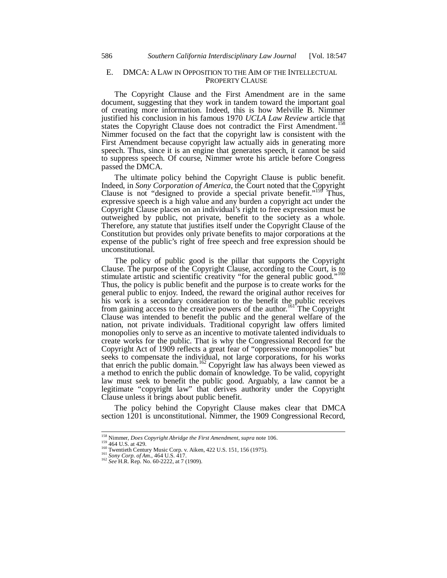## E. DMCA: ALAW IN OPPOSITION TO THE AIM OF THE INTELLECTUAL PROPERTY CLAUSE

The Copyright Clause and the First Amendment are in the same document, suggesting that they work in tandem toward the important goal of creating more information. Indeed, this is how Melville B. Nimmer justified his conclusion in his famous 1970 *UCLA Law Review* article that states the Copyright Clause does not contradict the First Amendment.<sup>158</sup> Nimmer focused on the fact that the copyright law is consistent with the First Amendment because copyright law actually aids in generating more speech. Thus, since it is an engine that generates speech, it cannot be said to suppress speech. Of course, Nimmer wrote his article before Congress passed the DMCA.

The ultimate policy behind the Copyright Clause is public benefit. Indeed, in *Sony Corporation of America*, the Court noted that the Copyright Clause is not "designed to provide a special private benefit."<sup>159</sup> Thus, Clause is not "designed to provide a special private benefit."<sup>15</sup> expressive speech is a high value and any burden a copyright act under the Copyright Clause places on an individual's right to free expression must be outweighed by public, not private, benefit to the society as a whole. Therefore, any statute that justifies itself under the Copyright Clause of the Constitution but provides only private benefits to major corporations at the expense of the public's right of free speech and free expression should be unconstitutional.

The policy of public good is the pillar that supports the Copyright Clause. The purpose of the Copyright Clause, according to the Court, is to stimulate artistic and scientific creativity "for the general public good."<sup>160</sup> Thus, the policy is public benefit and the purpose is to create works for the general public to enjoy. Indeed, the reward the original author receives for his work is a secondary consideration to the benefit the public receives from gaining access to the creative powers of the author.<sup>161</sup> The Copyright Clause was intended to benefit the public and the general welfare of the nation, not private individuals. Traditional copyright law offers limited monopolies only to serve as an incentive to motivate talented individuals to create works for the public. That is why the Congressional Record for the Copyright Act of 1909 reflects a great fear of "oppressive monopolies" but seeks to compensate the individual, not large corporations, for his works that enrich the public domain.<sup>162</sup> Copyright law has always been viewed as a method to enrich the public domain of knowledge. To be valid, copyright law must seek to benefit the public good. Arguably, a law cannot be a legitimate "copyright law" that derives authority under the Copyright Clause unless it brings about public benefit.

The policy behind the Copyright Clause makes clear that DMCA section 1201 is unconstitutional. Nimmer, the 1909 Congressional Record,

 $^{158}$  Nimmer, *Does Copyright Abridge the First Amendment, supra* note 106.

<sup>&</sup>lt;sup>159</sup> 464 U.S. at 429.<br>
<sup>169</sup> 464 U.S. at 429.<br>
<sup>160</sup> Twentieth Century Music Corp. v. Aiken, 422 U.S. 151, 156 (1975).<br>
<sup>161</sup> *Sony Corp. of Am.*, 464 U.S. 417.<br>
<sup>162</sup> *See* H.R. Rep. No. 60-2222, at 7 (1909).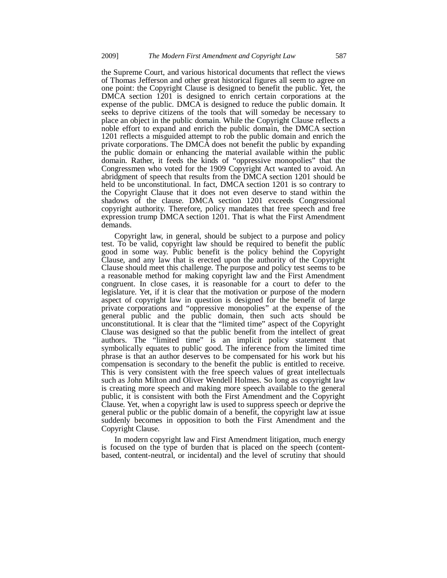the Supreme Court, and various historical documents that reflect the views of Thomas Jefferson and other great historical figures all seem to agree on one point: the Copyright Clause is designed to benefit the public. Yet, the DMCA section 1201 is designed to enrich certain corporations at the expense of the public. DMCA is designed to reduce the public domain. It seeks to deprive citizens of the tools that will someday be necessary to place an object in the public domain. While the Copyright Clause reflects a noble effort to expand and enrich the public domain, the DMCA section 1201 reflects a misguided attempt to rob the public domain and enrich the private corporations. The DMCA does not benefit the public by expanding the public domain or enhancing the material available within the public domain. Rather, it feeds the kinds of "oppressive monopolies" that the Congressmen who voted for the 1909 Copyright Act wanted to avoid. An abridgment of speech that results from the DMCA section 1201 should be held to be unconstitutional. In fact, DMCA section 1201 is so contrary to the Copyright Clause that it does not even deserve to stand within the shadows of the clause. DMCA section 1201 exceeds Congressional copyright authority. Therefore, policy mandates that free speech and free expression trump DMCA section 1201. That is what the First Amendment demands.

Copyright law, in general, should be subject to a purpose and policy test. To be valid, copyright law should be required to benefit the public good in some way. Public benefit is the policy behind the Copyright Clause, and any law that is erected upon the authority of the Copyright Clause should meet this challenge. The purpose and policy test seems to be a reasonable method for making copyright law and the First Amendment congruent. In close cases, it is reasonable for a court to defer to the legislature. Yet, if it is clear that the motivation or purpose of the modern aspect of copyright law in question is designed for the benefit of large private corporations and "oppressive monopolies" at the expense of the general public and the public domain, then such acts should be unconstitutional. It is clear that the "limited time" aspect of the Copyright Clause was designed so that the public benefit from the intellect of great authors. The "limited time" is an implicit policy statement that symbolically equates to public good. The inference from the limited time phrase is that an author deserves to be compensated for his work but his compensation is secondary to the benefit the public is entitled to receive. This is very consistent with the free speech values of great intellectuals such as John Milton and Oliver Wendell Holmes. So long as copyright law is creating more speech and making more speech available to the general public, it is consistent with both the First Amendment and the Copyright Clause. Yet, when a copyright law is used to suppress speech or deprive the general public or the public domain of a benefit, the copyright law at issue suddenly becomes in opposition to both the First Amendment and the Copyright Clause.

In modern copyright law and First Amendment litigation, much energy is focused on the type of burden that is placed on the speech (contentbased, content-neutral, or incidental) and the level of scrutiny that should